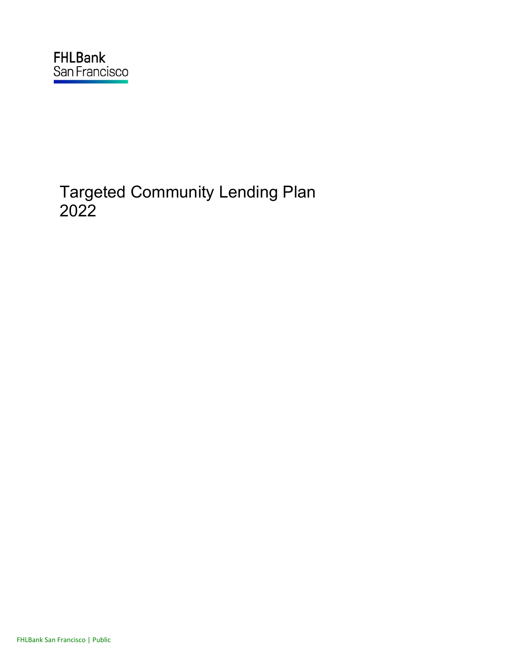# Targeted Community Lending Plan 2022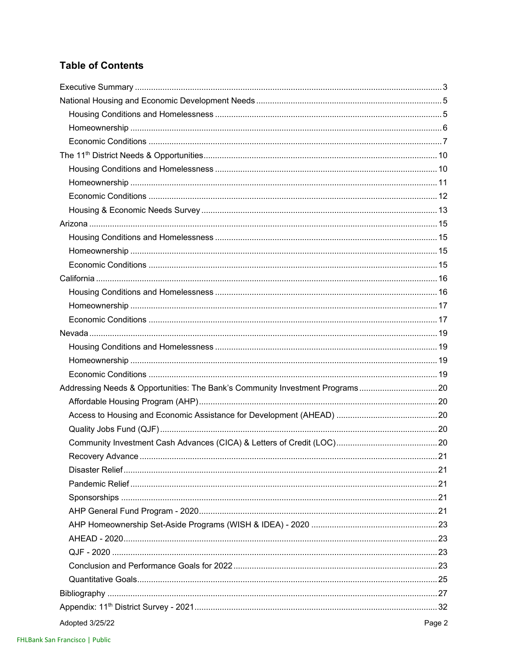# **Table of Contents**

| Addressing Needs & Opportunities: The Bank's Community Investment Programs20 |        |
|------------------------------------------------------------------------------|--------|
|                                                                              |        |
|                                                                              |        |
|                                                                              |        |
|                                                                              |        |
|                                                                              |        |
|                                                                              |        |
|                                                                              |        |
|                                                                              |        |
|                                                                              |        |
|                                                                              |        |
|                                                                              |        |
|                                                                              |        |
|                                                                              |        |
|                                                                              |        |
|                                                                              |        |
|                                                                              |        |
| Adopted 3/25/22                                                              | Page 2 |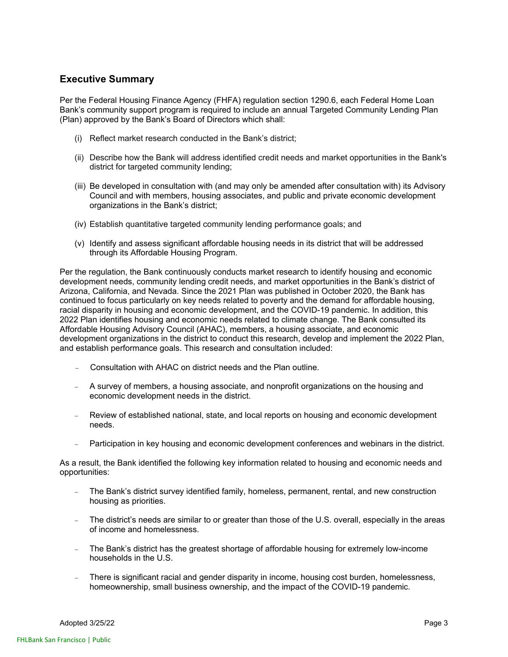### **Executive Summary**

Per the Federal Housing Finance Agency (FHFA) regulation section 1290.6, each Federal Home Loan Bank's community support program is required to include an annual Targeted Community Lending Plan (Plan) approved by the Bank's Board of Directors which shall:

- (i) Reflect market research conducted in the Bank's district;
- (ii) Describe how the Bank will address identified credit needs and market opportunities in the Bank's district for targeted community lending;
- (iii) Be developed in consultation with (and may only be amended after consultation with) its Advisory Council and with members, housing associates, and public and private economic development organizations in the Bank's district;
- (iv) Establish quantitative targeted community lending performance goals; and
- (v) Identify and assess significant affordable housing needs in its district that will be addressed through its Affordable Housing Program.

Per the regulation, the Bank continuously conducts market research to identify housing and economic development needs, community lending credit needs, and market opportunities in the Bank's district of Arizona, California, and Nevada. Since the 2021 Plan was published in October 2020, the Bank has continued to focus particularly on key needs related to poverty and the demand for affordable housing, racial disparity in housing and economic development, and the COVID-19 pandemic. In addition, this 2022 Plan identifies housing and economic needs related to climate change. The Bank consulted its Affordable Housing Advisory Council (AHAC), members, a housing associate, and economic development organizations in the district to conduct this research, develop and implement the 2022 Plan, and establish performance goals. This research and consultation included:

- Consultation with AHAC on district needs and the Plan outline.
- A survey of members, a housing associate, and nonprofit organizations on the housing and economic development needs in the district.
- Review of established national, state, and local reports on housing and economic development needs.
- Participation in key housing and economic development conferences and webinars in the district.

As a result, the Bank identified the following key information related to housing and economic needs and opportunities:

- The Bank's district survey identified family, homeless, permanent, rental, and new construction housing as priorities.
- The district's needs are similar to or greater than those of the U.S. overall, especially in the areas of income and homelessness.
- The Bank's district has the greatest shortage of affordable housing for extremely low-income households in the U.S.
- There is significant racial and gender disparity in income, housing cost burden, homelessness, homeownership, small business ownership, and the impact of the COVID-19 pandemic.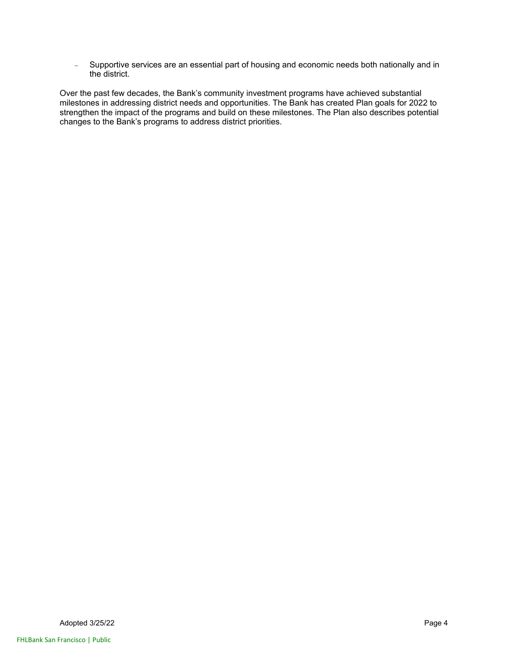- Supportive services are an essential part of housing and economic needs both nationally and in the district.

Over the past few decades, the Bank's community investment programs have achieved substantial milestones in addressing district needs and opportunities. The Bank has created Plan goals for 2022 to strengthen the impact of the programs and build on these milestones. The Plan also describes potential changes to the Bank's programs to address district priorities.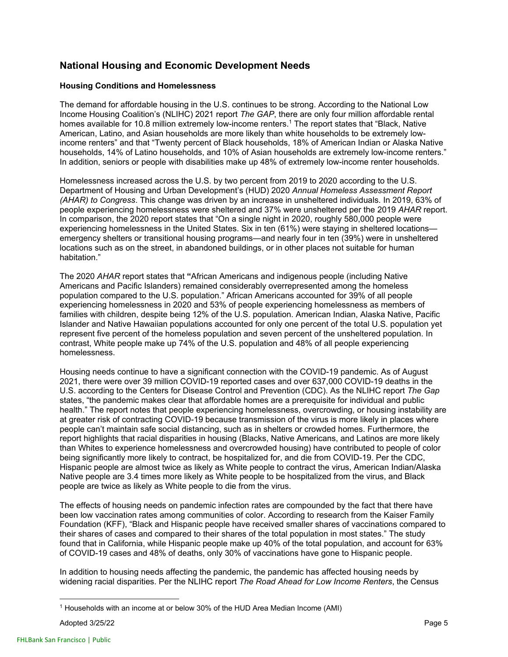### **National Housing and Economic Development Needs**

### **Housing Conditions and Homelessness**

The demand for affordable housing in the U.S. continues to be strong. According to the National Low Income Housing Coalition's (NLIHC) 2021 report *The GAP*, there are only four million affordable rental homes available for 10.8 million extremely low-income renters.<sup>1</sup> The report states that "Black, Native American, Latino, and Asian households are more likely than white households to be extremely lowincome renters" and that "Twenty percent of Black households, 18% of American Indian or Alaska Native households, 14% of Latino households, and 10% of Asian households are extremely low-income renters." In addition, seniors or people with disabilities make up 48% of extremely low-income renter households.

Homelessness increased across the U.S. by two percent from 2019 to 2020 according to the U.S. Department of Housing and Urban Development's (HUD) 2020 *Annual Homeless Assessment Report (AHAR) to Congress*. This change was driven by an increase in unsheltered individuals. In 2019, 63% of people experiencing homelessness were sheltered and 37% were unsheltered per the 2019 *AHAR* report. In comparison, the 2020 report states that "On a single night in 2020, roughly 580,000 people were experiencing homelessness in the United States. Six in ten (61%) were staying in sheltered locations emergency shelters or transitional housing programs—and nearly four in ten (39%) were in unsheltered locations such as on the street, in abandoned buildings, or in other places not suitable for human habitation."

The 2020 *AHAR* report states that **"**African Americans and indigenous people (including Native Americans and Pacific Islanders) remained considerably overrepresented among the homeless population compared to the U.S. population." African Americans accounted for 39% of all people experiencing homelessness in 2020 and 53% of people experiencing homelessness as members of families with children, despite being 12% of the U.S. population. American Indian, Alaska Native, Pacific Islander and Native Hawaiian populations accounted for only one percent of the total U.S. population yet represent five percent of the homeless population and seven percent of the unsheltered population. In contrast, White people make up 74% of the U.S. population and 48% of all people experiencing homelessness.

Housing needs continue to have a significant connection with the COVID-19 pandemic. As of August 2021, there were over 39 million COVID-19 reported cases and over 637,000 COVID-19 deaths in the U.S. according to the Centers for Disease Control and Prevention (CDC). As the NLIHC report *The Gap* states, "the pandemic makes clear that affordable homes are a prerequisite for individual and public health." The report notes that people experiencing homelessness, overcrowding, or housing instability are at greater risk of contracting COVID-19 because transmission of the virus is more likely in places where people can't maintain safe social distancing, such as in shelters or crowded homes. Furthermore, the report highlights that racial disparities in housing (Blacks, Native Americans, and Latinos are more likely than Whites to experience homelessness and overcrowded housing) have contributed to people of color being significantly more likely to contract, be hospitalized for, and die from COVID-19. Per the CDC, Hispanic people are almost twice as likely as White people to contract the virus, American Indian/Alaska Native people are 3.4 times more likely as White people to be hospitalized from the virus, and Black people are twice as likely as White people to die from the virus.

The effects of housing needs on pandemic infection rates are compounded by the fact that there have been low vaccination rates among communities of color. According to research from the Kaiser Family Foundation (KFF), "Black and Hispanic people have received smaller shares of vaccinations compared to their shares of cases and compared to their shares of the total population in most states." The study found that in California, while Hispanic people make up 40% of the total population, and account for 63% of COVID-19 cases and 48% of deaths, only 30% of vaccinations have gone to Hispanic people.

In addition to housing needs affecting the pandemic, the pandemic has affected housing needs by widening racial disparities. Per the NLIHC report *The Road Ahead for Low Income Renters*, the Census

<sup>&</sup>lt;sup>1</sup> Households with an income at or below 30% of the HUD Area Median Income (AMI)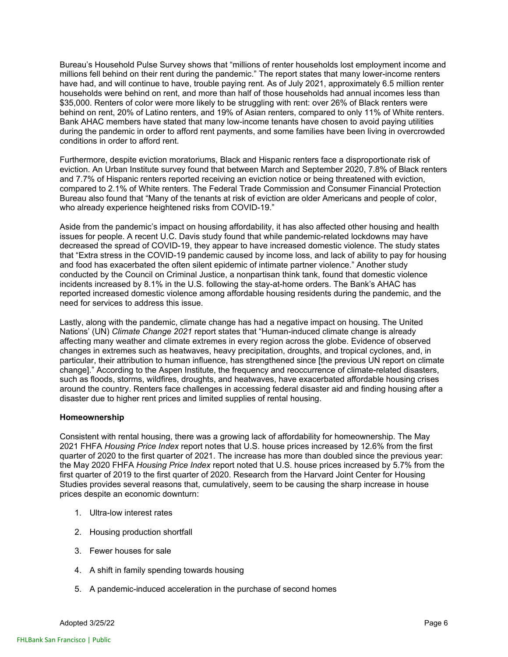Bureau's Household Pulse Survey shows that "millions of renter households lost employment income and millions fell behind on their rent during the pandemic." The report states that many lower-income renters have had, and will continue to have, trouble paying rent*.* As of July 2021, approximately 6.5 million renter households were behind on rent, and more than half of those households had annual incomes less than \$35,000. Renters of color were more likely to be struggling with rent: over 26% of Black renters were behind on rent, 20% of Latino renters, and 19% of Asian renters, compared to only 11% of White renters. Bank AHAC members have stated that many low-income tenants have chosen to avoid paying utilities during the pandemic in order to afford rent payments, and some families have been living in overcrowded conditions in order to afford rent.

Furthermore, despite eviction moratoriums, Black and Hispanic renters face a disproportionate risk of eviction. An Urban Institute survey found that between March and September 2020, 7.8% of Black renters and 7.7% of Hispanic renters reported receiving an eviction notice or being threatened with eviction, compared to 2.1% of White renters. The Federal Trade Commission and Consumer Financial Protection Bureau also found that "Many of the tenants at risk of eviction are older Americans and people of color, who already experience heightened risks from COVID-19."

Aside from the pandemic's impact on housing affordability, it has also affected other housing and health issues for people. A recent U.C. Davis study found that while pandemic-related lockdowns may have decreased the spread of COVID-19, they appear to have increased domestic violence. The study states that "Extra stress in the COVID-19 pandemic caused by income loss, and lack of ability to pay for housing and food has exacerbated the often silent epidemic of intimate partner violence." Another study conducted by the Council on Criminal Justice, a nonpartisan think tank, found that domestic violence incidents increased by 8.1% in the U.S. following the stay-at-home orders. The Bank's AHAC has reported increased domestic violence among affordable housing residents during the pandemic, and the need for services to address this issue.

Lastly, along with the pandemic, climate change has had a negative impact on housing. The United Nations' (UN) *Climate Change 2021* report states that "Human-induced climate change is already affecting many weather and climate extremes in every region across the globe. Evidence of observed changes in extremes such as heatwaves, heavy precipitation, droughts, and tropical cyclones, and, in particular, their attribution to human influence, has strengthened since [the previous UN report on climate change]." According to the Aspen Institute, the frequency and reoccurrence of climate-related disasters, such as floods, storms, wildfires, droughts, and heatwaves, have exacerbated affordable housing crises around the country. Renters face challenges in accessing federal disaster aid and finding housing after a disaster due to higher rent prices and limited supplies of rental housing.

### **Homeownership**

Consistent with rental housing, there was a growing lack of affordability for homeownership. The May 2021 FHFA *Housing Price Index* report notes that U.S. house prices increased by 12.6% from the first quarter of 2020 to the first quarter of 2021. The increase has more than doubled since the previous year: the May 2020 FHFA *Housing Price Index* report noted that U.S. house prices increased by 5.7% from the first quarter of 2019 to the first quarter of 2020. Research from the Harvard Joint Center for Housing Studies provides several reasons that, cumulatively, seem to be causing the sharp increase in house prices despite an economic downturn:

- 1. Ultra-low interest rates
- 2. Housing production shortfall
- 3. Fewer houses for sale
- 4. A shift in family spending towards housing
- 5. A pandemic-induced acceleration in the purchase of second homes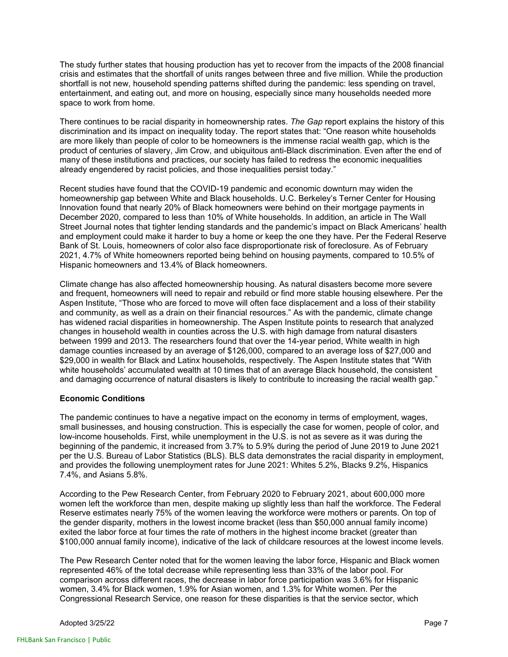The study further states that housing production has yet to recover from the impacts of the 2008 financial crisis and estimates that the shortfall of units ranges between three and five million. While the production shortfall is not new, household spending patterns shifted during the pandemic: less spending on travel, entertainment, and eating out, and more on housing, especially since many households needed more space to work from home.

There continues to be racial disparity in homeownership rates. *The Gap* report explains the history of this discrimination and its impact on inequality today. The report states that: "One reason white households are more likely than people of color to be homeowners is the immense racial wealth gap, which is the product of centuries of slavery, Jim Crow, and ubiquitous anti-Black discrimination. Even after the end of many of these institutions and practices, our society has failed to redress the economic inequalities already engendered by racist policies, and those inequalities persist today."

Recent studies have found that the COVID-19 pandemic and economic downturn may widen the homeownership gap between White and Black households. U.C. Berkeley's Terner Center for Housing Innovation found that nearly 20% of Black homeowners were behind on their mortgage payments in December 2020, compared to less than 10% of White households. In addition, an article in The Wall Street Journal notes that tighter lending standards and the pandemic's impact on Black Americans' health and employment could make it harder to buy a home or keep the one they have. Per the Federal Reserve Bank of St. Louis, homeowners of color also face disproportionate risk of foreclosure. As of February 2021, 4.7% of White homeowners reported being behind on housing payments, compared to 10.5% of Hispanic homeowners and 13.4% of Black homeowners.

Climate change has also affected homeownership housing. As natural disasters become more severe and frequent, homeowners will need to repair and rebuild or find more stable housing elsewhere. Per the Aspen Institute, "Those who are forced to move will often face displacement and a loss of their stability and community, as well as a drain on their financial resources." As with the pandemic, climate change has widened racial disparities in homeownership. The Aspen Institute points to research that analyzed changes in household wealth in counties across the U.S. with high damage from natural disasters between 1999 and 2013. The researchers found that over the 14-year period, White wealth in high damage counties increased by an average of \$126,000, compared to an average loss of \$27,000 and \$29,000 in wealth for Black and Latinx households, respectively. The Aspen Institute states that "With white households' accumulated wealth at 10 times that of an average Black household, the consistent and damaging occurrence of natural disasters is likely to contribute to increasing the racial wealth gap."

### **Economic Conditions**

The pandemic continues to have a negative impact on the economy in terms of employment, wages, small businesses, and housing construction. This is especially the case for women, people of color, and low-income households. First, while unemployment in the U.S. is not as severe as it was during the beginning of the pandemic, it increased from 3.7% to 5.9% during the period of June 2019 to June 2021 per the U.S. Bureau of Labor Statistics (BLS). BLS data demonstrates the racial disparity in employment, and provides the following unemployment rates for June 2021: Whites 5.2%, Blacks 9.2%, Hispanics 7.4%, and Asians 5.8%.

According to the Pew Research Center, from February 2020 to February 2021, about 600,000 more women left the workforce than men, despite making up slightly less than half the workforce. The Federal Reserve estimates nearly 75% of the women leaving the workforce were mothers or parents. On top of the gender disparity, mothers in the lowest income bracket (less than \$50,000 annual family income) exited the labor force at four times the rate of mothers in the highest income bracket (greater than \$100,000 annual family income), indicative of the lack of childcare resources at the lowest income levels.

The Pew Research Center noted that for the women leaving the labor force, Hispanic and Black women represented 46% of the total decrease while representing less than 33% of the labor pool. For comparison across different races, the decrease in labor force participation was 3.6% for Hispanic women, 3.4% for Black women, 1.9% for Asian women, and 1.3% for White women. Per the Congressional Research Service, one reason for these disparities is that the service sector, which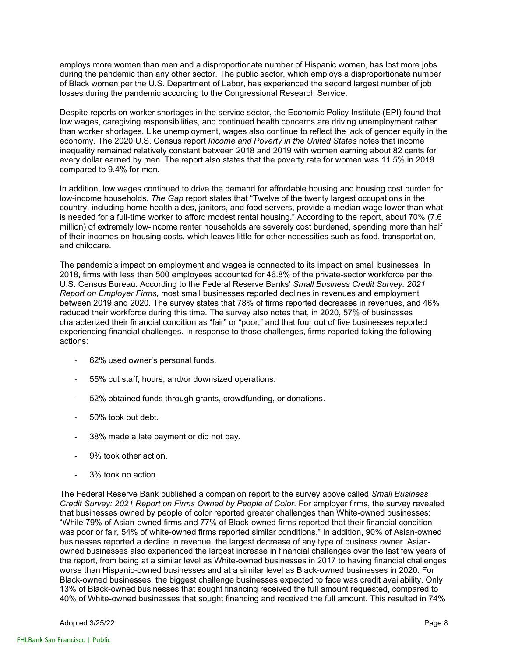employs more women than men and a disproportionate number of Hispanic women, has lost more jobs during the pandemic than any other sector. The public sector, which employs a disproportionate number of Black women per the U.S. Department of Labor, has experienced the second largest number of job losses during the pandemic according to the Congressional Research Service.

Despite reports on worker shortages in the service sector, the Economic Policy Institute (EPI) found that low wages, caregiving responsibilities, and continued health concerns are driving unemployment rather than worker shortages. Like unemployment, wages also continue to reflect the lack of gender equity in the economy. The 2020 U.S. Census report *Income and Poverty in the United States* notes that income inequality remained relatively constant between 2018 and 2019 with women earning about 82 cents for every dollar earned by men. The report also states that the poverty rate for women was 11.5% in 2019 compared to 9.4% for men.

In addition, low wages continued to drive the demand for affordable housing and housing cost burden for low-income households. *The Gap* report states that "Twelve of the twenty largest occupations in the country, including home health aides, janitors, and food servers, provide a median wage lower than what is needed for a full-time worker to afford modest rental housing." According to the report, about 70% (7.6 million) of extremely low-income renter households are severely cost burdened, spending more than half of their incomes on housing costs, which leaves little for other necessities such as food, transportation, and childcare.

The pandemic's impact on employment and wages is connected to its impact on small businesses. In 2018, firms with less than 500 employees accounted for 46.8% of the private-sector workforce per the U.S. Census Bureau. According to the Federal Reserve Banks' *Small Business Credit Survey: 2021 Report on Employer Firms,* most small businesses reported declines in revenues and employment between 2019 and 2020. The survey states that 78% of firms reported decreases in revenues, and 46% reduced their workforce during this time. The survey also notes that, in 2020, 57% of businesses characterized their financial condition as "fair" or "poor," and that four out of five businesses reported experiencing financial challenges. In response to those challenges, firms reported taking the following actions:

- 62% used owner's personal funds.
- 55% cut staff, hours, and/or downsized operations.
- 52% obtained funds through grants, crowdfunding, or donations.
- 50% took out debt.
- 38% made a late payment or did not pay.
- 9% took other action.
- 3% took no action.

The Federal Reserve Bank published a companion report to the survey above called *Small Business Credit Survey: 2021 Report on Firms Owned by People of Color.* For employer firms, the survey revealed that businesses owned by people of color reported greater challenges than White-owned businesses: "While 79% of Asian-owned firms and 77% of Black-owned firms reported that their financial condition was poor or fair, 54% of white-owned firms reported similar conditions." In addition, 90% of Asian-owned businesses reported a decline in revenue, the largest decrease of any type of business owner. Asianowned businesses also experienced the largest increase in financial challenges over the last few years of the report, from being at a similar level as White-owned businesses in 2017 to having financial challenges worse than Hispanic-owned businesses and at a similar level as Black-owned businesses in 2020. For Black-owned businesses, the biggest challenge businesses expected to face was credit availability. Only 13% of Black-owned businesses that sought financing received the full amount requested, compared to 40% of White-owned businesses that sought financing and received the full amount. This resulted in 74%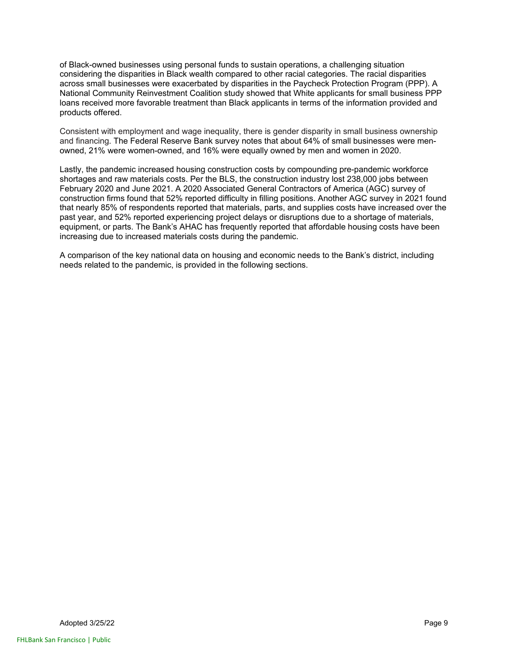of Black-owned businesses using personal funds to sustain operations, a challenging situation considering the disparities in Black wealth compared to other racial categories. The racial disparities across small businesses were exacerbated by disparities in the Paycheck Protection Program (PPP). A National Community Reinvestment Coalition study showed that White applicants for small business PPP loans received more favorable treatment than Black applicants in terms of the information provided and products offered.

Consistent with employment and wage inequality, there is gender disparity in small business ownership and financing. The Federal Reserve Bank survey notes that about 64% of small businesses were menowned, 21% were women-owned, and 16% were equally owned by men and women in 2020.

Lastly, the pandemic increased housing construction costs by compounding pre-pandemic workforce shortages and raw materials costs. Per the BLS, the construction industry lost 238,000 jobs between February 2020 and June 2021. A 2020 Associated General Contractors of America (AGC) survey of construction firms found that 52% reported difficulty in filling positions. Another AGC survey in 2021 found that nearly 85% of respondents reported that materials, parts, and supplies costs have increased over the past year, and 52% reported experiencing project delays or disruptions due to a shortage of materials, equipment, or parts. The Bank's AHAC has frequently reported that affordable housing costs have been increasing due to increased materials costs during the pandemic.

A comparison of the key national data on housing and economic needs to the Bank's district, including needs related to the pandemic, is provided in the following sections.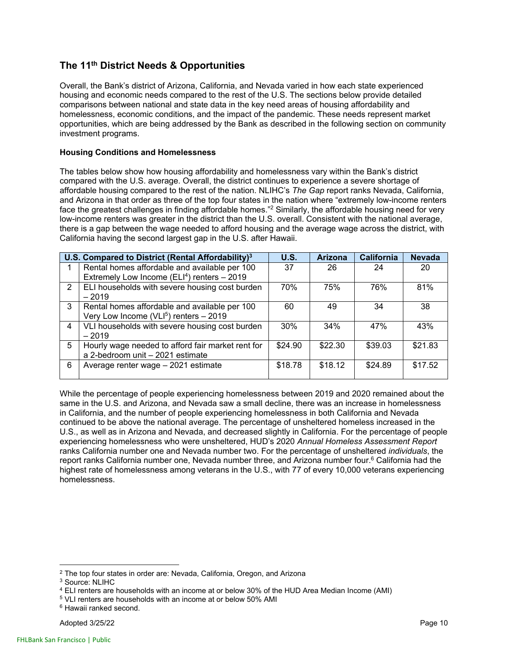### **The 11th District Needs & Opportunities**

Overall, the Bank's district of Arizona, California, and Nevada varied in how each state experienced housing and economic needs compared to the rest of the U.S. The sections below provide detailed comparisons between national and state data in the key need areas of housing affordability and homelessness, economic conditions, and the impact of the pandemic. These needs represent market opportunities, which are being addressed by the Bank as described in the following section on community investment programs.

### **Housing Conditions and Homelessness**

The tables below show how housing affordability and homelessness vary within the Bank's district compared with the U.S. average. Overall, the district continues to experience a severe shortage of affordable housing compared to the rest of the nation. NLIHC's *The Gap* report ranks Nevada, California, and Arizona in that order as three of the top four states in the nation where "extremely low-income renters face the greatest challenges in finding affordable homes."<sup>2</sup> Similarly, the affordable housing need for very low-income renters was greater in the district than the U.S. overall. Consistent with the national average, there is a gap between the wage needed to afford housing and the average wage across the district, with California having the second largest gap in the U.S. after Hawaii.

|                                                                                                          | U.S. Compared to District (Rental Affordability) <sup>3</sup>                              | <b>U.S.</b> | <b>Arizona</b> | <b>California</b> | <b>Nevada</b> |
|----------------------------------------------------------------------------------------------------------|--------------------------------------------------------------------------------------------|-------------|----------------|-------------------|---------------|
| Rental homes affordable and available per 100<br>Extremely Low Income (ELI <sup>4</sup> ) renters - 2019 |                                                                                            | 37          | 26             | 24                | 20            |
| ELI households with severe housing cost burden<br>2<br>$-2019$                                           |                                                                                            | 70%         | 75%            | 76%               | 81%           |
| 3                                                                                                        | Rental homes affordable and available per 100<br>Very Low Income ( $VLI5$ ) renters - 2019 | 60          | 49             | 34                | 38            |
| $\overline{4}$                                                                                           | VLI households with severe housing cost burden<br>$-2019$                                  | 30%         | 34%            | 47%               | 43%           |
| 5                                                                                                        | Hourly wage needed to afford fair market rent for<br>a 2-bedroom unit - 2021 estimate      | \$24.90     | \$22.30        | \$39.03           | \$21.83       |
| 6                                                                                                        | Average renter wage - 2021 estimate                                                        | \$18.78     | \$18.12        | \$24.89           | \$17.52       |

While the percentage of people experiencing homelessness between 2019 and 2020 remained about the same in the U.S. and Arizona, and Nevada saw a small decline, there was an increase in homelessness in California, and the number of people experiencing homelessness in both California and Nevada continued to be above the national average. The percentage of unsheltered homeless increased in the U.S., as well as in Arizona and Nevada, and decreased slightly in California. For the percentage of people experiencing homelessness who were unsheltered, HUD's 2020 *Annual Homeless Assessment Report* ranks California number one and Nevada number two. For the percentage of unsheltered *individuals*, the report ranks California number one, Nevada number three, and Arizona number four.<sup>6</sup> California had the highest rate of homelessness among veterans in the U.S., with 77 of every 10,000 veterans experiencing homelessness.

 $^2$  The top four states in order are: Nevada, California, Oregon, and Arizona  $^3$  Source: NLIHC

 $4$  ELI renters are households with an income at or below 30% of the HUD Area Median Income (AMI)  $5$  VLI renters are households with an income at or below 50% AMI

<sup>6</sup> Hawaii ranked second.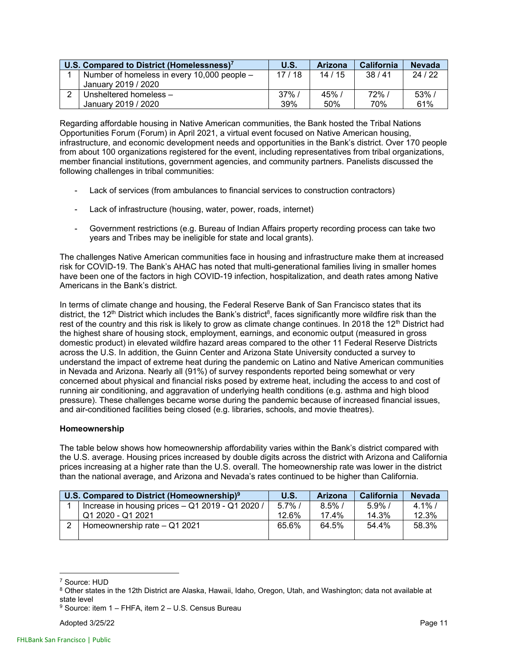| U.S. Compared to District (Homelessness) <sup>7</sup> |                                             | U.S.     | <b>Arizona</b> | <b>California</b> | <b>Nevada</b> |
|-------------------------------------------------------|---------------------------------------------|----------|----------------|-------------------|---------------|
|                                                       | Number of homeless in every 10,000 people – | 17/18    | 14/15          | 38/41             | 24/22         |
|                                                       | January 2019 / 2020                         |          |                |                   |               |
|                                                       | Unsheltered homeless -                      | $37\%$ / | 45%            | 72%               | 53%           |
|                                                       | January 2019 / 2020                         | 39%      | 50%            | 70%               | 61%           |

Regarding affordable housing in Native American communities, the Bank hosted the Tribal Nations Opportunities Forum (Forum) in April 2021, a virtual event focused on Native American housing, infrastructure, and economic development needs and opportunities in the Bank's district. Over 170 people from about 100 organizations registered for the event, including representatives from tribal organizations, member financial institutions, government agencies, and community partners. Panelists discussed the following challenges in tribal communities:

- Lack of services (from ambulances to financial services to construction contractors)
- Lack of infrastructure (housing, water, power, roads, internet)
- Government restrictions (e.g. Bureau of Indian Affairs property recording process can take two years and Tribes may be ineligible for state and local grants).

The challenges Native American communities face in housing and infrastructure make them at increased risk for COVID-19. The Bank's AHAC has noted that multi-generational families living in smaller homes have been one of the factors in high COVID-19 infection, hospitalization, and death rates among Native Americans in the Bank's district.

In terms of climate change and housing, the Federal Reserve Bank of San Francisco states that its district, the 12<sup>th</sup> District which includes the Bank's district<sup>8</sup>, faces significantly more wildfire risk than the rest of the country and this risk is likely to grow as climate change continues. In 2018 the 12<sup>th</sup> District had the highest share of housing stock, employment, earnings, and economic output (measured in gross domestic product) in elevated wildfire hazard areas compared to the other 11 Federal Reserve Districts across the U.S. In addition, the Guinn Center and Arizona State University conducted a survey to understand the impact of extreme heat during the pandemic on Latino and Native American communities in Nevada and Arizona. Nearly all (91%) of survey respondents reported being somewhat or very concerned about physical and financial risks posed by extreme heat, including the access to and cost of running air conditioning, and aggravation of underlying health conditions (e.g. asthma and high blood pressure). These challenges became worse during the pandemic because of increased financial issues, and air-conditioned facilities being closed (e.g. libraries, schools, and movie theatres).

### **Homeownership**

The table below shows how homeownership affordability varies within the Bank's district compared with the U.S. average. Housing prices increased by double digits across the district with Arizona and California prices increasing at a higher rate than the U.S. overall. The homeownership rate was lower in the district than the national average, and Arizona and Nevada's rates continued to be higher than California.

| U.S. Compared to District (Homeownership) <sup>9</sup> |                                                  | U.S.      | <b>Arizona</b> | <b>California</b> | <b>Nevada</b> |
|--------------------------------------------------------|--------------------------------------------------|-----------|----------------|-------------------|---------------|
|                                                        | Increase in housing prices - Q1 2019 - Q1 2020 / | $5.7\%$ / | $8.5\%$ /      | $5.9\%$ /         | $4.1\%$ /     |
|                                                        | Q1 2020 - Q1 2021                                | 12.6%     | 17.4%          | 14.3%             | 12.3%         |
|                                                        | Homeownership rate - Q1 2021                     | 65.6%     | 64.5%          | 54.4%             | 58.3%         |
|                                                        |                                                  |           |                |                   |               |

<sup>7</sup> Source: HUD

<sup>8</sup> Other states in the 12th District are Alaska, Hawaii, Idaho, Oregon, Utah, and Washington; data not available at state level

<sup>9</sup> Source: item 1 – FHFA, item 2 – U.S. Census Bureau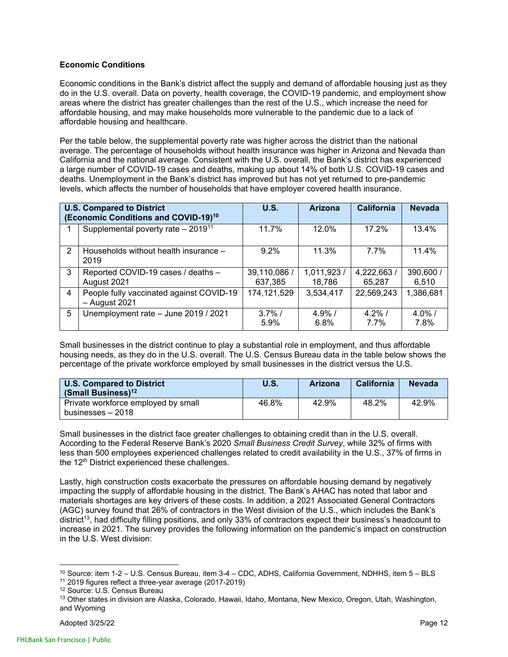### **Economic Conditions**

Economic conditions in the Bank's district affect the supply and demand of affordable housing just as they do in the U.S. overall. Data on poverty, health coverage, the COVID-19 pandemic, and employment show areas where the district has greater challenges than the rest of the U.S., which increase the need for affordable housing, and may make households more vulnerable to the pandemic due to a lack of affordable housing and healthcare.

Per the table below, the supplemental poverty rate was higher across the district than the national average. The percentage of households without health insurance was higher in Arizona and Nevada than California and the national average. Consistent with the U.S. overall, the Bank's district has experienced a large number of COVID-19 cases and deaths, making up about 14% of both U.S. COVID-19 cases and deaths. Unemployment in the Bank's district has improved but has not yet returned to pre-pandemic levels, which affects the number of households that have employer covered health insurance.

|                | <b>U.S. Compared to District</b><br>(Economic Conditions and COVID-19) <sup>10</sup> | U.S.                    | <b>Arizona</b>        | <b>California</b>    | <b>Nevada</b>      |
|----------------|--------------------------------------------------------------------------------------|-------------------------|-----------------------|----------------------|--------------------|
|                | Supplemental poverty rate $-2019^{11}$                                               | 11.7%                   | $12.0\%$              | 17.2%                | 13.4%              |
| 2              | Households without health insurance -<br>2019                                        | 9.2%                    | 11.3%                 | $7.7\%$              | 11.4%              |
| 3              | Reported COVID-19 cases / deaths -<br>August 2021                                    | 39,110,086 /<br>637,385 | 1,011,923 /<br>18,786 | 4,222,663/<br>65,287 | 390,600 /<br>6,510 |
| $\overline{4}$ | People fully vaccinated against COVID-19<br>- August 2021                            | 174,121,529             | 3,534,417             | 22,569,243           | 1,386,681          |
| 5              | Unemployment rate - June 2019 / 2021                                                 | $3.7\%$ /<br>5.9%       | $4.9\%$ /<br>6.8%     | $4.2\%$ /<br>$7.7\%$ | $4.0\%$ /<br>7.8%  |

Small businesses in the district continue to play a substantial role in employment, and thus affordable housing needs, as they do in the U.S. overall. The U.S. Census Bureau data in the table below shows the percentage of the private workforce employed by small businesses in the district versus the U.S.

| <b>U.S. Compared to District</b><br>(Small Business) $12$ | U.S.  | Arizona | California | <b>Nevada</b> |
|-----------------------------------------------------------|-------|---------|------------|---------------|
| Private workforce employed by small<br>businesses – 2018  | 46.8% | 42.9%   | 48.2%      | 42.9%         |

Small businesses in the district face greater challenges to obtaining credit than in the U.S. overall. According to the Federal Reserve Bank's 2020 *Small Business Credit Survey*, while 32% of firms with less than 500 employees experienced challenges related to credit availability in the U.S., 37% of firms in the 12<sup>th</sup> District experienced these challenges.

Lastly, high construction costs exacerbate the pressures on affordable housing demand by negatively impacting the supply of affordable housing in the district. The Bank's AHAC has noted that labor and materials shortages are key drivers of these costs. In addition, a 2021 Associated General Contractors (AGC) survey found that 26% of contractors in the West division of the U.S., which includes the Bank's district13, had difficulty filling positions, and only 33% of contractors expect their business's headcount to increase in 2021. The survey provides the following information on the pandemic's impact on construction in the U.S. West division:

<sup>&</sup>lt;sup>10</sup> Source: item 1-2 – U.S. Census Bureau, item 3-4 – CDC, ADHS, California Government, NDHHS, item 5 – BLS<br><sup>11</sup> 2019 figures reflect a three-year average (2017-2019)

<sup>12</sup> Source: U.S. Census Bureau

<sup>&</sup>lt;sup>13</sup> Other states in division are Alaska, Colorado, Hawaii, Idaho, Montana, New Mexico, Oregon, Utah, Washington, and Wyoming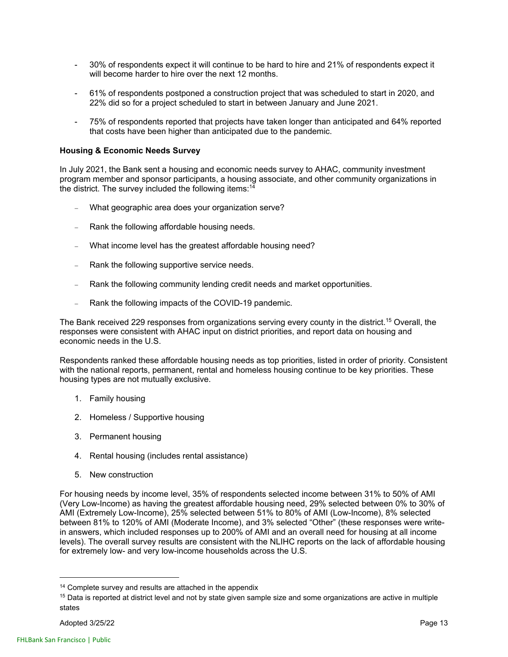- 30% of respondents expect it will continue to be hard to hire and 21% of respondents expect it will become harder to hire over the next 12 months.
- 61% of respondents postponed a construction project that was scheduled to start in 2020, and 22% did so for a project scheduled to start in between January and June 2021.
- 75% of respondents reported that projects have taken longer than anticipated and 64% reported that costs have been higher than anticipated due to the pandemic.

### **Housing & Economic Needs Survey**

In July 2021, the Bank sent a housing and economic needs survey to AHAC, community investment program member and sponsor participants, a housing associate, and other community organizations in the district. The survey included the following items: $14$ 

- What geographic area does your organization serve?
- Rank the following affordable housing needs.
- What income level has the greatest affordable housing need?
- Rank the following supportive service needs.
- Rank the following community lending credit needs and market opportunities.
- Rank the following impacts of the COVID-19 pandemic.

The Bank received 229 responses from organizations serving every county in the district.15 Overall, the responses were consistent with AHAC input on district priorities, and report data on housing and economic needs in the U.S.

Respondents ranked these affordable housing needs as top priorities, listed in order of priority. Consistent with the national reports, permanent, rental and homeless housing continue to be key priorities. These housing types are not mutually exclusive.

- 1. Family housing
- 2. Homeless / Supportive housing
- 3. Permanent housing
- 4. Rental housing (includes rental assistance)
- 5. New construction

For housing needs by income level, 35% of respondents selected income between 31% to 50% of AMI (Very Low-Income) as having the greatest affordable housing need, 29% selected between 0% to 30% of AMI (Extremely Low-Income), 25% selected between 51% to 80% of AMI (Low-Income), 8% selected between 81% to 120% of AMI (Moderate Income), and 3% selected "Other" (these responses were writein answers, which included responses up to 200% of AMI and an overall need for housing at all income levels). The overall survey results are consistent with the NLIHC reports on the lack of affordable housing for extremely low- and very low-income households across the U.S.

<sup>&</sup>lt;sup>14</sup> Complete survey and results are attached in the appendix

 $15$  Data is reported at district level and not by state given sample size and some organizations are active in multiple states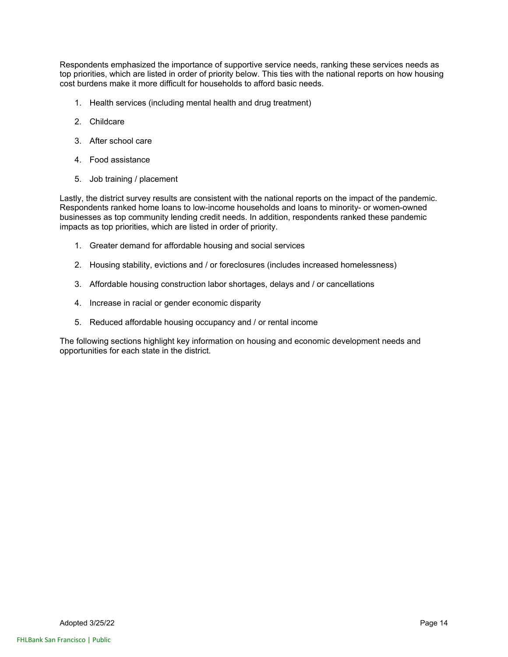Respondents emphasized the importance of supportive service needs, ranking these services needs as top priorities, which are listed in order of priority below. This ties with the national reports on how housing cost burdens make it more difficult for households to afford basic needs.

- 1. Health services (including mental health and drug treatment)
- 2. Childcare
- 3. After school care
- 4. Food assistance
- 5. Job training / placement

Lastly, the district survey results are consistent with the national reports on the impact of the pandemic. Respondents ranked home loans to low-income households and loans to minority- or women-owned businesses as top community lending credit needs. In addition, respondents ranked these pandemic impacts as top priorities, which are listed in order of priority.

- 1. Greater demand for affordable housing and social services
- 2. Housing stability, evictions and / or foreclosures (includes increased homelessness)
- 3. Affordable housing construction labor shortages, delays and / or cancellations
- 4. Increase in racial or gender economic disparity
- 5. Reduced affordable housing occupancy and / or rental income

The following sections highlight key information on housing and economic development needs and opportunities for each state in the district.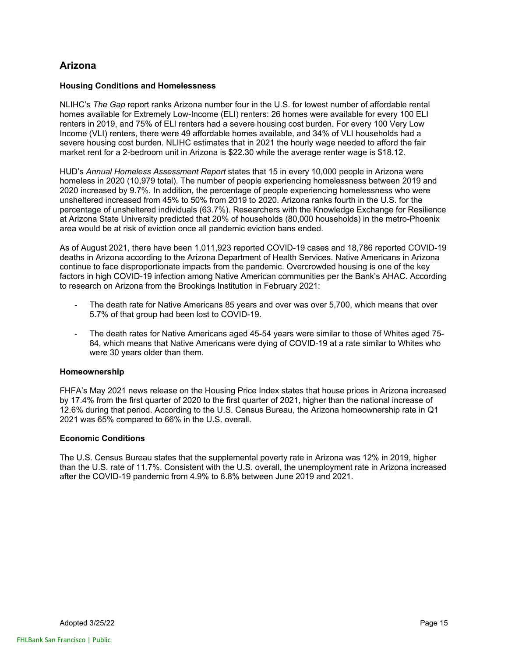### **Arizona**

### **Housing Conditions and Homelessness**

NLIHC's *The Gap* report ranks Arizona number four in the U.S. for lowest number of affordable rental homes available for Extremely Low-Income (ELI) renters: 26 homes were available for every 100 ELI renters in 2019, and 75% of ELI renters had a severe housing cost burden. For every 100 Very Low Income (VLI) renters, there were 49 affordable homes available, and 34% of VLI households had a severe housing cost burden. NLIHC estimates that in 2021 the hourly wage needed to afford the fair market rent for a 2-bedroom unit in Arizona is \$22.30 while the average renter wage is \$18.12.

HUD's *Annual Homeless Assessment Report* states that 15 in every 10,000 people in Arizona were homeless in 2020 (10,979 total). The number of people experiencing homelessness between 2019 and 2020 increased by 9.7%. In addition, the percentage of people experiencing homelessness who were unsheltered increased from 45% to 50% from 2019 to 2020. Arizona ranks fourth in the U.S. for the percentage of unsheltered individuals (63.7%). Researchers with the Knowledge Exchange for Resilience at Arizona State University predicted that 20% of households (80,000 households) in the metro-Phoenix area would be at risk of eviction once all pandemic eviction bans ended.

As of August 2021, there have been 1,011,923 reported COVID-19 cases and 18,786 reported COVID-19 deaths in Arizona according to the Arizona Department of Health Services. Native Americans in Arizona continue to face disproportionate impacts from the pandemic. Overcrowded housing is one of the key factors in high COVID-19 infection among Native American communities per the Bank's AHAC. According to research on Arizona from the Brookings Institution in February 2021:

- The death rate for Native Americans 85 years and over was over 5,700, which means that over 5.7% of that group had been lost to COVID-19.
- The death rates for Native Americans aged 45-54 years were similar to those of Whites aged 75- 84, which means that Native Americans were dying of COVID-19 at a rate similar to Whites who were 30 years older than them.

### **Homeownership**

FHFA's May 2021 news release on the Housing Price Index states that house prices in Arizona increased by 17.4% from the first quarter of 2020 to the first quarter of 2021, higher than the national increase of 12.6% during that period. According to the U.S. Census Bureau, the Arizona homeownership rate in Q1 2021 was 65% compared to 66% in the U.S. overall.

### **Economic Conditions**

The U.S. Census Bureau states that the supplemental poverty rate in Arizona was 12% in 2019, higher than the U.S. rate of 11.7%. Consistent with the U.S. overall, the unemployment rate in Arizona increased after the COVID-19 pandemic from 4.9% to 6.8% between June 2019 and 2021.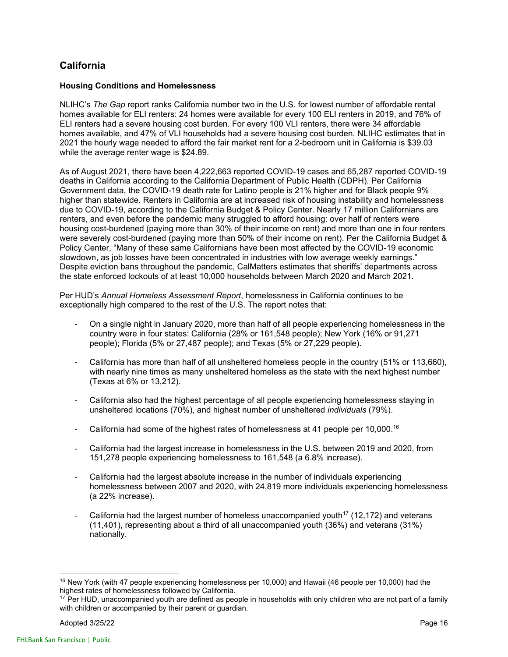### **California**

### **Housing Conditions and Homelessness**

NLIHC's *The Gap* report ranks California number two in the U.S. for lowest number of affordable rental homes available for ELI renters: 24 homes were available for every 100 ELI renters in 2019, and 76% of ELI renters had a severe housing cost burden. For every 100 VLI renters, there were 34 affordable homes available, and 47% of VLI households had a severe housing cost burden. NLIHC estimates that in 2021 the hourly wage needed to afford the fair market rent for a 2-bedroom unit in California is \$39.03 while the average renter wage is \$24.89.

As of August 2021, there have been 4,222,663 reported COVID-19 cases and 65,287 reported COVID-19 deaths in California according to the California Department of Public Health (CDPH). Per California Government data, the COVID-19 death rate for Latino people is 21% higher and for Black people 9% higher than statewide. Renters in California are at increased risk of housing instability and homelessness due to COVID-19, according to the California Budget & Policy Center. Nearly 17 million Californians are renters, and even before the pandemic many struggled to afford housing: over half of renters were housing cost-burdened (paying more than 30% of their income on rent) and more than one in four renters were severely cost-burdened (paying more than 50% of their income on rent). Per the California Budget & Policy Center, "Many of these same Californians have been most affected by the COVID-19 economic slowdown, as job losses have been concentrated in industries with low average weekly earnings." Despite eviction bans throughout the pandemic, CalMatters estimates that sheriffs' departments across the state enforced lockouts of at least 10,000 households between March 2020 and March 2021.

Per HUD's *Annual Homeless Assessment Report*, homelessness in California continues to be exceptionally high compared to the rest of the U.S. The report notes that:

- On a single night in January 2020, more than half of all people experiencing homelessness in the country were in four states: California (28% or 161,548 people); New York (16% or 91,271 people); Florida (5% or 27,487 people); and Texas (5% or 27,229 people).
- California has more than half of all unsheltered homeless people in the country (51% or 113,660), with nearly nine times as many unsheltered homeless as the state with the next highest number (Texas at 6% or 13,212).
- California also had the highest percentage of all people experiencing homelessness staying in unsheltered locations (70%), and highest number of unsheltered *individuals* (79%).
- California had some of the highest rates of homelessness at 41 people per  $10,000$ .<sup>16</sup>
- California had the largest increase in homelessness in the U.S. between 2019 and 2020, from 151,278 people experiencing homelessness to 161,548 (a 6.8% increase).
- California had the largest absolute increase in the number of individuals experiencing homelessness between 2007 and 2020, with 24,819 more individuals experiencing homelessness (a 22% increase).
- California had the largest number of homeless unaccompanied youth<sup>17</sup> (12,172) and veterans (11,401), representing about a third of all unaccompanied youth (36%) and veterans (31%) nationally.

<sup>&</sup>lt;sup>16</sup> New York (with 47 people experiencing homelessness per 10,000) and Hawaii (46 people per 10,000) had the highest rates of homelessness followed by California.

 $17$  Per HUD, unaccompanied youth are defined as people in households with only children who are not part of a family with children or accompanied by their parent or guardian.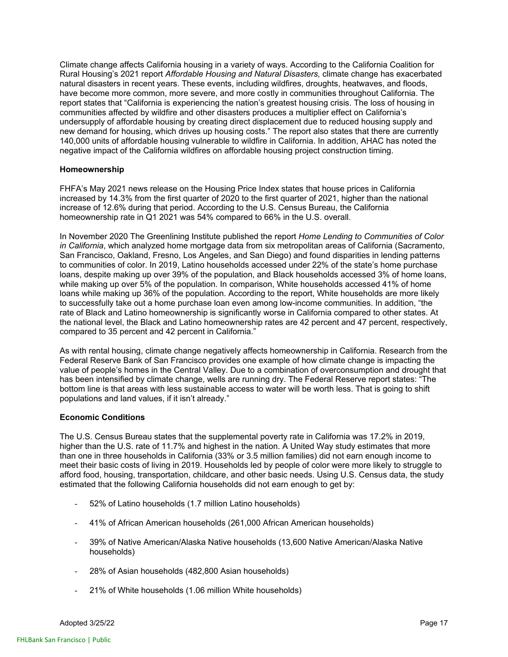Climate change affects California housing in a variety of ways. According to the California Coalition for Rural Housing's 2021 report *Affordable Housing and Natural Disasters,* climate change has exacerbated natural disasters in recent years. These events, including wildfires, droughts, heatwaves, and floods, have become more common, more severe, and more costly in communities throughout California. The report states that "California is experiencing the nation's greatest housing crisis. The loss of housing in communities affected by wildfire and other disasters produces a multiplier effect on California's undersupply of affordable housing by creating direct displacement due to reduced housing supply and new demand for housing, which drives up housing costs." The report also states that there are currently 140,000 units of affordable housing vulnerable to wildfire in California. In addition, AHAC has noted the negative impact of the California wildfires on affordable housing project construction timing.

### **Homeownership**

FHFA's May 2021 news release on the Housing Price Index states that house prices in California increased by 14.3% from the first quarter of 2020 to the first quarter of 2021, higher than the national increase of 12.6% during that period. According to the U.S. Census Bureau, the California homeownership rate in Q1 2021 was 54% compared to 66% in the U.S. overall.

In November 2020 The Greenlining Institute published the report *Home Lending to Communities of Color in California*, which analyzed home mortgage data from six metropolitan areas of California (Sacramento, San Francisco, Oakland, Fresno, Los Angeles, and San Diego) and found disparities in lending patterns to communities of color. In 2019, Latino households accessed under 22% of the state's home purchase loans, despite making up over 39% of the population, and Black households accessed 3% of home loans, while making up over 5% of the population. In comparison, White households accessed 41% of home loans while making up 36% of the population. According to the report, White households are more likely to successfully take out a home purchase loan even among low-income communities. In addition, "the rate of Black and Latino homeownership is significantly worse in California compared to other states. At the national level, the Black and Latino homeownership rates are 42 percent and 47 percent, respectively, compared to 35 percent and 42 percent in California."

As with rental housing, climate change negatively affects homeownership in California. Research from the Federal Reserve Bank of San Francisco provides one example of how climate change is impacting the value of people's homes in the Central Valley. Due to a combination of overconsumption and drought that has been intensified by climate change, wells are running dry. The Federal Reserve report states: "The bottom line is that areas with less sustainable access to water will be worth less. That is going to shift populations and land values, if it isn't already."

### **Economic Conditions**

The U.S. Census Bureau states that the supplemental poverty rate in California was 17.2% in 2019, higher than the U.S. rate of 11.7% and highest in the nation. A United Way study estimates that more than one in three households in California (33% or 3.5 million families) did not earn enough income to meet their basic costs of living in 2019. Households led by people of color were more likely to struggle to afford food, housing, transportation, childcare, and other basic needs. Using U.S. Census data, the study estimated that the following California households did not earn enough to get by:

- 52% of Latino households (1.7 million Latino households)
- 41% of African American households (261,000 African American households)
- 39% of Native American/Alaska Native households (13,600 Native American/Alaska Native households)
- 28% of Asian households (482,800 Asian households)
- 21% of White households (1.06 million White households)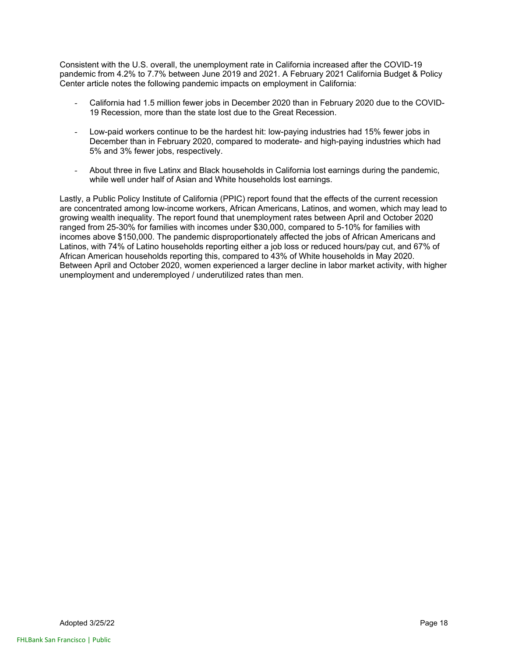Consistent with the U.S. overall, the unemployment rate in California increased after the COVID-19 pandemic from 4.2% to 7.7% between June 2019 and 2021. A February 2021 California Budget & Policy Center article notes the following pandemic impacts on employment in California:

- California had 1.5 million fewer jobs in December 2020 than in February 2020 due to the COVID-19 Recession, more than the state lost due to the Great Recession.
- Low-paid workers continue to be the hardest hit: low-paying industries had 15% fewer jobs in December than in February 2020, compared to moderate- and high-paying industries which had 5% and 3% fewer jobs, respectively.
- About three in five Latinx and Black households in California lost earnings during the pandemic, while well under half of Asian and White households lost earnings.

Lastly, a Public Policy Institute of California (PPIC) report found that the effects of the current recession are concentrated among low-income workers, African Americans, Latinos, and women, which may lead to growing wealth inequality. The report found that unemployment rates between April and October 2020 ranged from 25-30% for families with incomes under \$30,000, compared to 5-10% for families with incomes above \$150,000. The pandemic disproportionately affected the jobs of African Americans and Latinos, with 74% of Latino households reporting either a job loss or reduced hours/pay cut, and 67% of African American households reporting this, compared to 43% of White households in May 2020. Between April and October 2020, women experienced a larger decline in labor market activity, with higher unemployment and underemployed / underutilized rates than men.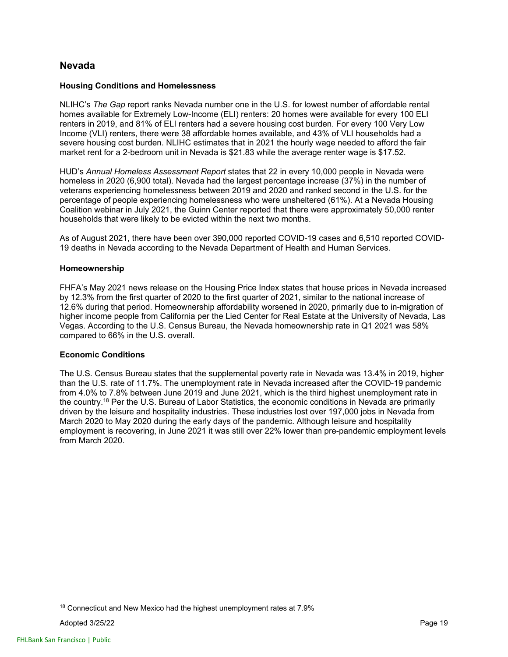### **Nevada**

#### **Housing Conditions and Homelessness**

NLIHC's *The Gap* report ranks Nevada number one in the U.S. for lowest number of affordable rental homes available for Extremely Low-Income (ELI) renters: 20 homes were available for every 100 ELI renters in 2019, and 81% of ELI renters had a severe housing cost burden. For every 100 Very Low Income (VLI) renters, there were 38 affordable homes available, and 43% of VLI households had a severe housing cost burden. NLIHC estimates that in 2021 the hourly wage needed to afford the fair market rent for a 2-bedroom unit in Nevada is \$21.83 while the average renter wage is \$17.52.

HUD's *Annual Homeless Assessment Report* states that 22 in every 10,000 people in Nevada were homeless in 2020 (6,900 total). Nevada had the largest percentage increase (37%) in the number of veterans experiencing homelessness between 2019 and 2020 and ranked second in the U.S. for the percentage of people experiencing homelessness who were unsheltered (61%). At a Nevada Housing Coalition webinar in July 2021, the Guinn Center reported that there were approximately 50,000 renter households that were likely to be evicted within the next two months.

As of August 2021, there have been over 390,000 reported COVID-19 cases and 6,510 reported COVID-19 deaths in Nevada according to the Nevada Department of Health and Human Services.

### **Homeownership**

FHFA's May 2021 news release on the Housing Price Index states that house prices in Nevada increased by 12.3% from the first quarter of 2020 to the first quarter of 2021, similar to the national increase of 12.6% during that period. Homeownership affordability worsened in 2020, primarily due to in-migration of higher income people from California per the Lied Center for Real Estate at the University of Nevada, Las Vegas. According to the U.S. Census Bureau, the Nevada homeownership rate in Q1 2021 was 58% compared to 66% in the U.S. overall.

### **Economic Conditions**

The U.S. Census Bureau states that the supplemental poverty rate in Nevada was 13.4% in 2019, higher than the U.S. rate of 11.7%. The unemployment rate in Nevada increased after the COVID-19 pandemic from 4.0% to 7.8% between June 2019 and June 2021, which is the third highest unemployment rate in the country.18 Per the U.S. Bureau of Labor Statistics, the economic conditions in Nevada are primarily driven by the leisure and hospitality industries. These industries lost over 197,000 jobs in Nevada from March 2020 to May 2020 during the early days of the pandemic. Although leisure and hospitality employment is recovering, in June 2021 it was still over 22% lower than pre-pandemic employment levels from March 2020.

<sup>&</sup>lt;sup>18</sup> Connecticut and New Mexico had the highest unemployment rates at 7.9%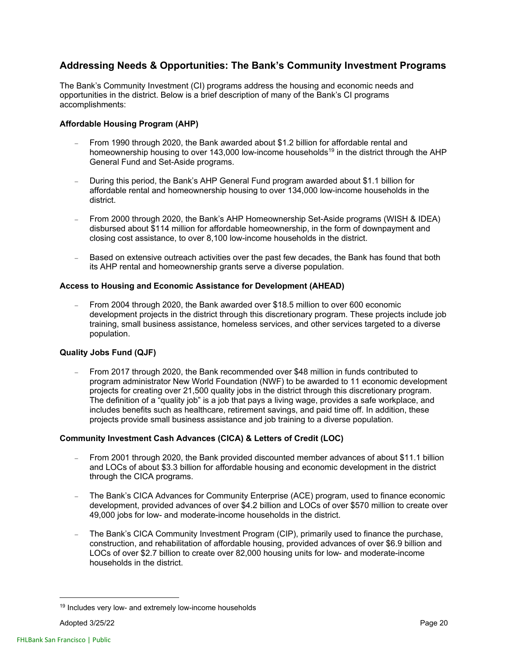### **Addressing Needs & Opportunities: The Bank's Community Investment Programs**

The Bank's Community Investment (CI) programs address the housing and economic needs and opportunities in the district. Below is a brief description of many of the Bank's CI programs accomplishments:

### **Affordable Housing Program (AHP)**

- From 1990 through 2020, the Bank awarded about \$1.2 billion for affordable rental and homeownership housing to over 143,000 low-income households<sup>19</sup> in the district through the AHP General Fund and Set-Aside programs.
- During this period, the Bank's AHP General Fund program awarded about \$1.1 billion for affordable rental and homeownership housing to over 134,000 low-income households in the district.
- From 2000 through 2020, the Bank's AHP Homeownership Set-Aside programs (WISH & IDEA) disbursed about \$114 million for affordable homeownership, in the form of downpayment and closing cost assistance, to over 8,100 low-income households in the district.
- Based on extensive outreach activities over the past few decades, the Bank has found that both its AHP rental and homeownership grants serve a diverse population.

### **Access to Housing and Economic Assistance for Development (AHEAD)**

 From 2004 through 2020, the Bank awarded over \$18.5 million to over 600 economic development projects in the district through this discretionary program. These projects include job training, small business assistance, homeless services, and other services targeted to a diverse population.

### **Quality Jobs Fund (QJF)**

 From 2017 through 2020, the Bank recommended over \$48 million in funds contributed to program administrator New World Foundation (NWF) to be awarded to 11 economic development projects for creating over 21,500 quality jobs in the district through this discretionary program. The definition of a "quality job" is a job that pays a living wage, provides a safe workplace, and includes benefits such as healthcare, retirement savings, and paid time off. In addition, these projects provide small business assistance and job training to a diverse population.

### **Community Investment Cash Advances (CICA) & Letters of Credit (LOC)**

- From 2001 through 2020, the Bank provided discounted member advances of about \$11.1 billion and LOCs of about \$3.3 billion for affordable housing and economic development in the district through the CICA programs.
- The Bank's CICA Advances for Community Enterprise (ACE) program, used to finance economic development, provided advances of over \$4.2 billion and LOCs of over \$570 million to create over 49,000 jobs for low- and moderate-income households in the district.
- The Bank's CICA Community Investment Program (CIP), primarily used to finance the purchase, construction, and rehabilitation of affordable housing, provided advances of over \$6.9 billion and LOCs of over \$2.7 billion to create over 82,000 housing units for low- and moderate-income households in the district.

<sup>&</sup>lt;sup>19</sup> Includes very low- and extremely low-income households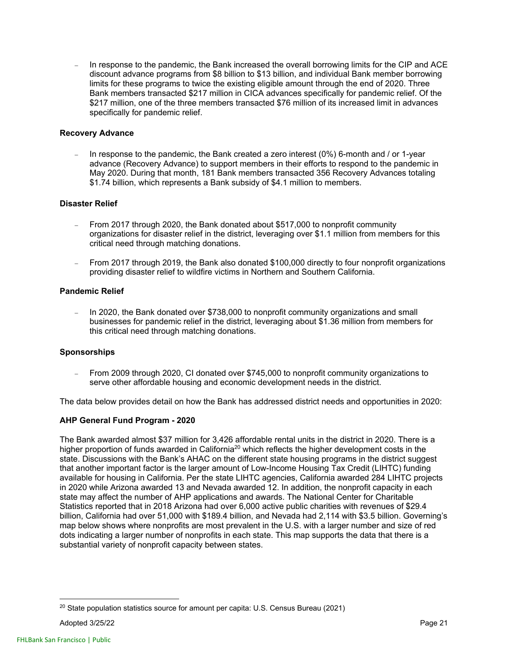In response to the pandemic, the Bank increased the overall borrowing limits for the CIP and ACE discount advance programs from \$8 billion to \$13 billion, and individual Bank member borrowing limits for these programs to twice the existing eligible amount through the end of 2020. Three Bank members transacted \$217 million in CICA advances specifically for pandemic relief. Of the \$217 million, one of the three members transacted \$76 million of its increased limit in advances specifically for pandemic relief.

### **Recovery Advance**

 In response to the pandemic, the Bank created a zero interest (0%) 6-month and / or 1-year advance (Recovery Advance) to support members in their efforts to respond to the pandemic in May 2020. During that month, 181 Bank members transacted 356 Recovery Advances totaling \$1.74 billion, which represents a Bank subsidy of \$4.1 million to members.

### **Disaster Relief**

- From 2017 through 2020, the Bank donated about \$517,000 to nonprofit community organizations for disaster relief in the district, leveraging over \$1.1 million from members for this critical need through matching donations.
- From 2017 through 2019, the Bank also donated \$100,000 directly to four nonprofit organizations providing disaster relief to wildfire victims in Northern and Southern California.

### **Pandemic Relief**

 In 2020, the Bank donated over \$738,000 to nonprofit community organizations and small businesses for pandemic relief in the district, leveraging about \$1.36 million from members for this critical need through matching donations.

### **Sponsorships**

 From 2009 through 2020, CI donated over \$745,000 to nonprofit community organizations to serve other affordable housing and economic development needs in the district.

The data below provides detail on how the Bank has addressed district needs and opportunities in 2020:

### **AHP General Fund Program - 2020**

The Bank awarded almost \$37 million for 3,426 affordable rental units in the district in 2020. There is a higher proportion of funds awarded in California<sup>20</sup> which reflects the higher development costs in the state. Discussions with the Bank's AHAC on the different state housing programs in the district suggest that another important factor is the larger amount of Low-Income Housing Tax Credit (LIHTC) funding available for housing in California. Per the state LIHTC agencies, California awarded 284 LIHTC projects in 2020 while Arizona awarded 13 and Nevada awarded 12. In addition, the nonprofit capacity in each state may affect the number of AHP applications and awards. The National Center for Charitable Statistics reported that in 2018 Arizona had over 6,000 active public charities with revenues of \$29.4 billion, California had over 51,000 with \$189.4 billion, and Nevada had 2,114 with \$3.5 billion. Governing's map below shows where nonprofits are most prevalent in the U.S. with a larger number and size of red dots indicating a larger number of nonprofits in each state. This map supports the data that there is a substantial variety of nonprofit capacity between states.

 $20$  State population statistics source for amount per capita: U.S. Census Bureau (2021)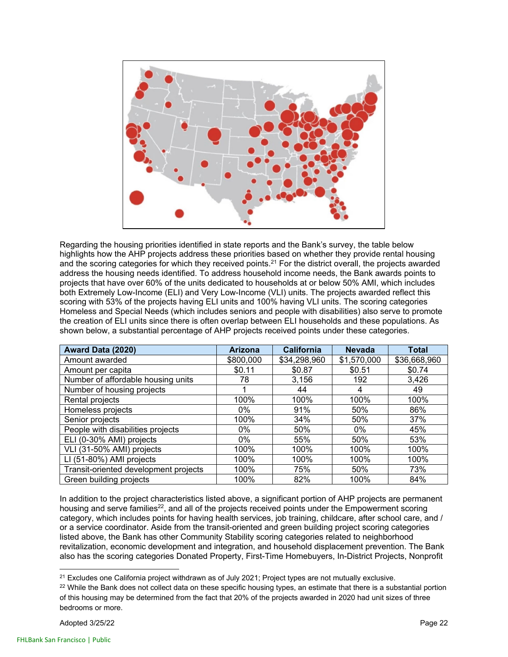

Regarding the housing priorities identified in state reports and the Bank's survey, the table below highlights how the AHP projects address these priorities based on whether they provide rental housing and the scoring categories for which they received points.<sup>21</sup> For the district overall, the projects awarded address the housing needs identified. To address household income needs, the Bank awards points to projects that have over 60% of the units dedicated to households at or below 50% AMI, which includes both Extremely Low-Income (ELI) and Very Low-Income (VLI) units. The projects awarded reflect this scoring with 53% of the projects having ELI units and 100% having VLI units. The scoring categories Homeless and Special Needs (which includes seniors and people with disabilities) also serve to promote the creation of ELI units since there is often overlap between ELI households and these populations. As shown below, a substantial percentage of AHP projects received points under these categories.

| Award Data (2020)                     | <b>Arizona</b> | <b>California</b> | <b>Nevada</b> | <b>Total</b> |
|---------------------------------------|----------------|-------------------|---------------|--------------|
| Amount awarded                        | \$800,000      | \$34,298,960      | \$1,570,000   | \$36,668,960 |
| Amount per capita                     | \$0.11         | \$0.87            | \$0.51        | \$0.74       |
| Number of affordable housing units    | 78             | 3,156             | 192           | 3,426        |
| Number of housing projects            |                | 44                | 4             | 49           |
| Rental projects                       | 100%           | 100%              | 100%          | 100%         |
| Homeless projects                     | $0\%$          | 91%               | 50%           | 86%          |
| Senior projects                       | 100%           | 34%               | 50%           | 37%          |
| People with disabilities projects     | $0\%$          | 50%               | $0\%$         | 45%          |
| ELI (0-30% AMI) projects              | $0\%$          | 55%               | 50%           | 53%          |
| VLI (31-50% AMI) projects             | 100%           | 100%              | 100%          | 100%         |
| LI (51-80%) AMI projects              | 100%           | 100%              | 100%          | 100%         |
| Transit-oriented development projects | 100%           | 75%               | 50%           | 73%          |
| Green building projects               | 100%           | 82%               | 100%          | 84%          |

In addition to the project characteristics listed above, a significant portion of AHP projects are permanent housing and serve families<sup>22</sup>, and all of the projects received points under the Empowerment scoring category, which includes points for having health services, job training, childcare, after school care, and / or a service coordinator. Aside from the transit-oriented and green building project scoring categories listed above, the Bank has other Community Stability scoring categories related to neighborhood revitalization, economic development and integration, and household displacement prevention. The Bank also has the scoring categories Donated Property, First-Time Homebuyers, In-District Projects, Nonprofit

<sup>&</sup>lt;sup>21</sup> Excludes one California project withdrawn as of July 2021; Project types are not mutually exclusive.<br><sup>22</sup> While the Bank does not collect data on these specific housing types, an estimate that there is a substantial of this housing may be determined from the fact that 20% of the projects awarded in 2020 had unit sizes of three bedrooms or more.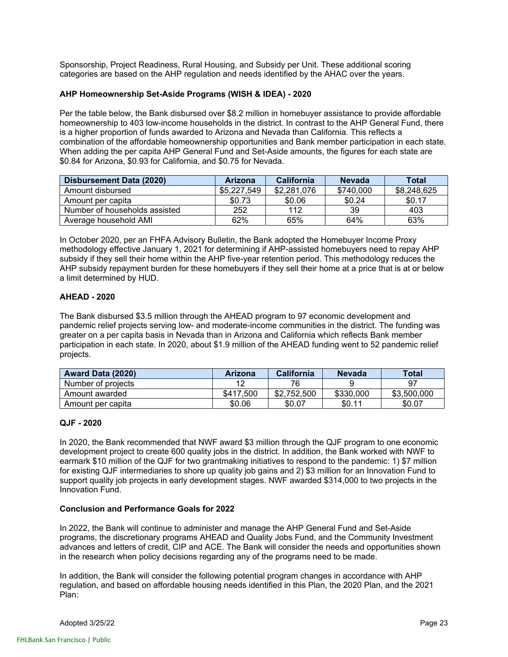Sponsorship, Project Readiness, Rural Housing, and Subsidy per Unit. These additional scoring categories are based on the AHP regulation and needs identified by the AHAC over the years.

### **AHP Homeownership Set-Aside Programs (WISH & IDEA) - 2020**

Per the table below, the Bank disbursed over \$8.2 million in homebuyer assistance to provide affordable homeownership to 403 low-income households in the district. In contrast to the AHP General Fund, there is a higher proportion of funds awarded to Arizona and Nevada than California. This reflects a combination of the affordable homeownership opportunities and Bank member participation in each state. When adding the per capita AHP General Fund and Set-Aside amounts, the figures for each state are \$0.84 for Arizona, \$0.93 for California, and \$0.75 for Nevada.

| Disbursement Data (2020)      | <b>Arizona</b> | <b>California</b> | <b>Nevada</b> | Total       |
|-------------------------------|----------------|-------------------|---------------|-------------|
| Amount disbursed              | \$5,227,549    | \$2,281,076       | \$740,000     | \$8,248,625 |
| Amount per capita             | \$0.73         | \$0.06            | \$0.24        | \$0.17      |
| Number of households assisted | 252            | 112               | 39            | 403         |
| Average household AMI         | 62%            | 65%               | 64%           | 63%         |

In October 2020, per an FHFA Advisory Bulletin, the Bank adopted the Homebuyer Income Proxy methodology effective January 1, 2021 for determining if AHP-assisted homebuyers need to repay AHP subsidy if they sell their home within the AHP five-year retention period. This methodology reduces the AHP subsidy repayment burden for these homebuyers if they sell their home at a price that is at or below a limit determined by HUD.

### **AHEAD - 2020**

The Bank disbursed \$3.5 million through the AHEAD program to 97 economic development and pandemic relief projects serving low- and moderate-income communities in the district. The funding was greater on a per capita basis in Nevada than in Arizona and California which reflects Bank member participation in each state. In 2020, about \$1.9 million of the AHEAD funding went to 52 pandemic relief projects.

| <b>Award Data (2020)</b> | Arizona   | <b>California</b> | <b>Nevada</b> | <b>Total</b> |
|--------------------------|-----------|-------------------|---------------|--------------|
| Number of projects       |           | 76                |               | 97           |
| Amount awarded           | \$417,500 | \$2.<br>.752.500  | \$330,000     | \$3,500,000  |
| Amount per capita        | \$0.06    | \$0.07            | \$0.11        | \$0.07       |

### **QJF - 2020**

In 2020, the Bank recommended that NWF award \$3 million through the QJF program to one economic development project to create 600 quality jobs in the district. In addition, the Bank worked with NWF to earmark \$10 million of the QJF for two grantmaking initiatives to respond to the pandemic: 1) \$7 million for existing QJF intermediaries to shore up quality job gains and 2) \$3 million for an Innovation Fund to support quality job projects in early development stages. NWF awarded \$314,000 to two projects in the Innovation Fund.

### **Conclusion and Performance Goals for 2022**

In 2022, the Bank will continue to administer and manage the AHP General Fund and Set-Aside programs, the discretionary programs AHEAD and Quality Jobs Fund, and the Community Investment advances and letters of credit, CIP and ACE. The Bank will consider the needs and opportunities shown in the research when policy decisions regarding any of the programs need to be made.

In addition, the Bank will consider the following potential program changes in accordance with AHP regulation, and based on affordable housing needs identified in this Plan, the 2020 Plan, and the 2021 Plan: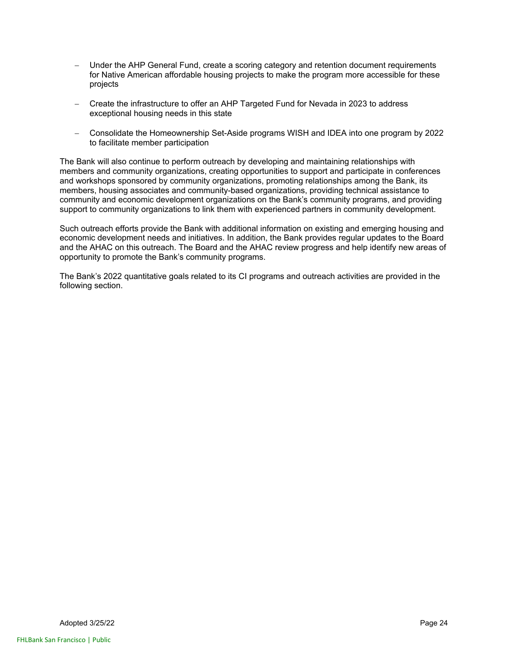- Under the AHP General Fund, create a scoring category and retention document requirements for Native American affordable housing projects to make the program more accessible for these projects
- Create the infrastructure to offer an AHP Targeted Fund for Nevada in 2023 to address exceptional housing needs in this state
- Consolidate the Homeownership Set-Aside programs WISH and IDEA into one program by 2022 to facilitate member participation

The Bank will also continue to perform outreach by developing and maintaining relationships with members and community organizations, creating opportunities to support and participate in conferences and workshops sponsored by community organizations, promoting relationships among the Bank, its members, housing associates and community-based organizations, providing technical assistance to community and economic development organizations on the Bank's community programs, and providing support to community organizations to link them with experienced partners in community development.

Such outreach efforts provide the Bank with additional information on existing and emerging housing and economic development needs and initiatives. In addition, the Bank provides regular updates to the Board and the AHAC on this outreach. The Board and the AHAC review progress and help identify new areas of opportunity to promote the Bank's community programs.

The Bank's 2022 quantitative goals related to its CI programs and outreach activities are provided in the following section.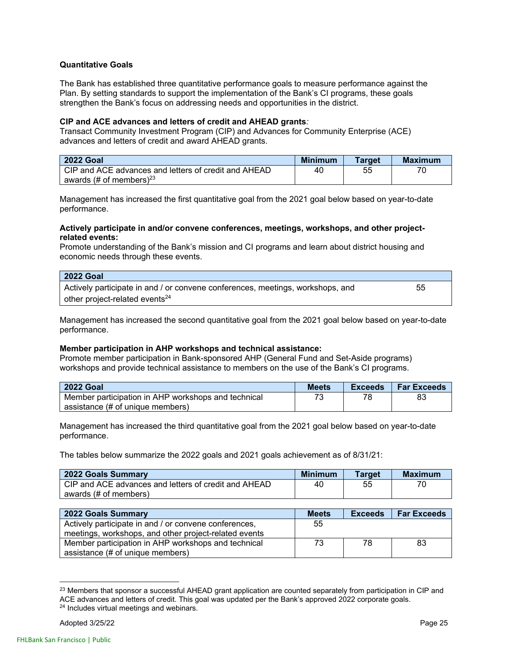### **Quantitative Goals**

The Bank has established three quantitative performance goals to measure performance against the Plan. By setting standards to support the implementation of the Bank's CI programs, these goals strengthen the Bank's focus on addressing needs and opportunities in the district.

#### **CIP and ACE advances and letters of credit and AHEAD grants***:*

Transact Community Investment Program (CIP) and Advances for Community Enterprise (ACE) advances and letters of credit and award AHEAD grants.

| <b>2022 Goal</b>                                      | <b>Minimum</b> | <b>Target</b> | <b>Maximum</b> |
|-------------------------------------------------------|----------------|---------------|----------------|
| LCIP and ACE advances and letters of credit and AHEAD | 40             | 55            |                |
| awards (# of members) $^{23}$                         |                |               |                |

Management has increased the first quantitative goal from the 2021 goal below based on year-to-date performance.

#### **Actively participate in and/or convene conferences, meetings, workshops, and other projectrelated events:**

Promote understanding of the Bank's mission and CI programs and learn about district housing and economic needs through these events.

| <b>2022 Goal</b>                                                               |    |
|--------------------------------------------------------------------------------|----|
| Actively participate in and / or convene conferences, meetings, workshops, and | 55 |
| other project-related events <sup>24</sup>                                     |    |

Management has increased the second quantitative goal from the 2021 goal below based on year-to-date performance.

### **Member participation in AHP workshops and technical assistance:**

Promote member participation in Bank-sponsored AHP (General Fund and Set-Aside programs) workshops and provide technical assistance to members on the use of the Bank's CI programs.

| <b>2022 Goal</b>                                    | <b>Meets</b> | Exceeds | <b>Far Exceeds</b> |
|-----------------------------------------------------|--------------|---------|--------------------|
| Member participation in AHP workshops and technical |              |         |                    |
| assistance (# of unique members)                    |              |         |                    |

Management has increased the third quantitative goal from the 2021 goal below based on year-to-date performance.

The tables below summarize the 2022 goals and 2021 goals achievement as of 8/31/21:

| 2022 Goals Summary                                    | <b>Minimum</b> | <b>Target</b> | <b>Maximum</b> |
|-------------------------------------------------------|----------------|---------------|----------------|
| LCIP and ACE advances and letters of credit and AHEAD | 40             | 55            |                |
| awards (# of members)                                 |                |               |                |

| 2022 Goals Summary                                    | <b>Meets</b> | <b>Exceeds</b> | <b>Far Exceeds</b> |
|-------------------------------------------------------|--------------|----------------|--------------------|
| Actively participate in and / or convene conferences, | 55           |                |                    |
| meetings, workshops, and other project-related events |              |                |                    |
| Member participation in AHP workshops and technical   | 73.          | 78             | -83                |
| assistance (# of unique members)                      |              |                |                    |

<sup>&</sup>lt;sup>23</sup> Members that sponsor a successful AHEAD grant application are counted separately from participation in CIP and ACE advances and letters of credit. This goal was updated per the Bank's approved 2022 corporate goals.<br><sup>24</sup> Includes virtual meetings and webinars.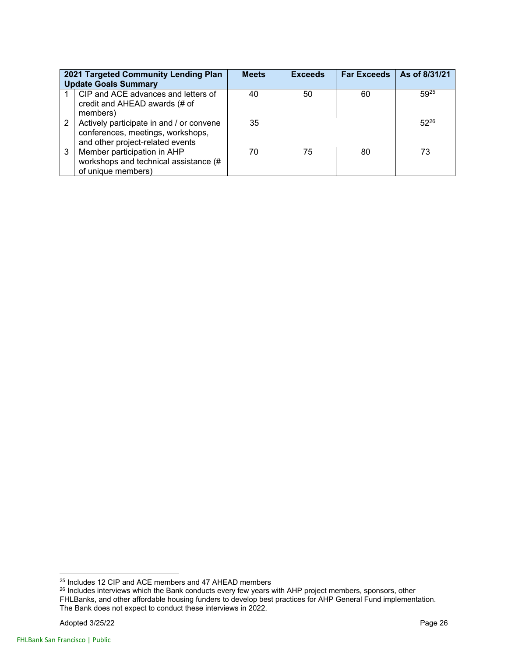| 2021 Targeted Community Lending Plan<br><b>Update Goals Summary</b> |                                                                                                                   | <b>Meets</b> | <b>Exceeds</b> | <b>Far Exceeds</b> | As of 8/31/21 |
|---------------------------------------------------------------------|-------------------------------------------------------------------------------------------------------------------|--------------|----------------|--------------------|---------------|
|                                                                     | CIP and ACE advances and letters of<br>credit and AHEAD awards (# of<br>members)                                  | 40           | 50             | 60                 | $59^{25}$     |
| 2                                                                   | Actively participate in and / or convene<br>conferences, meetings, workshops,<br>and other project-related events | 35           |                |                    | $52^{26}$     |
| 3                                                                   | Member participation in AHP<br>workshops and technical assistance (#<br>of unique members)                        | 70           | 75             | 80                 | 73            |

<sup>&</sup>lt;sup>25</sup> Includes 12 CIP and ACE members and 47 AHEAD members

 $^{26}$  Includes interviews which the Bank conducts every few years with AHP project members, sponsors, other FHLBanks, and other affordable housing funders to develop best practices for AHP General Fund implementation. The Bank does not expect to conduct these interviews in 2022.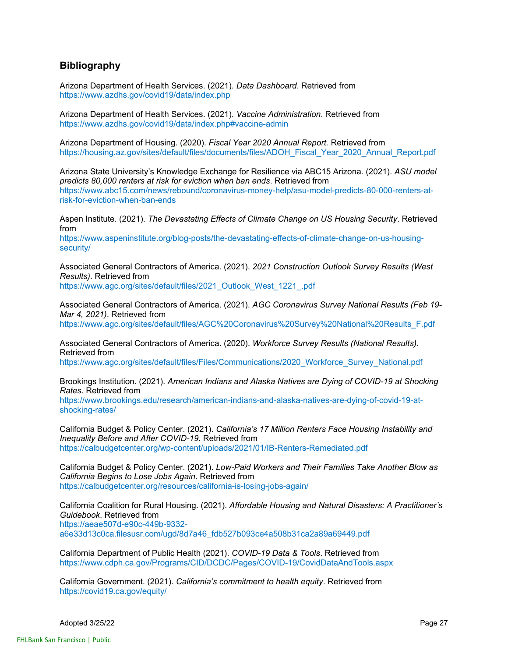### **Bibliography**

Arizona Department of Health Services. (2021). *Data Dashboard*. Retrieved from https://www.azdhs.gov/covid19/data/index.php

Arizona Department of Health Services. (2021). *Vaccine Administration*. Retrieved from https://www.azdhs.gov/covid19/data/index.php#vaccine-admin

Arizona Department of Housing. (2020). *Fiscal Year 2020 Annual Report.* Retrieved from https://housing.az.gov/sites/default/files/documents/files/ADOH\_Fiscal\_Year\_2020\_Annual\_Report.pdf

Arizona State University's Knowledge Exchange for Resilience via ABC15 Arizona. (2021). *ASU model predicts 80,000 renters at risk for eviction when ban ends*. Retrieved from https://www.abc15.com/news/rebound/coronavirus-money-help/asu-model-predicts-80-000-renters-atrisk-for-eviction-when-ban-ends

Aspen Institute. (2021). *The Devastating Effects of Climate Change on US Housing Security*. Retrieved from

https://www.aspeninstitute.org/blog-posts/the-devastating-effects-of-climate-change-on-us-housingsecurity/

Associated General Contractors of America. (2021). *2021 Construction Outlook Survey Results (West Results)*. Retrieved from https://www.agc.org/sites/default/files/2021\_Outlook\_West\_1221\_.pdf

Associated General Contractors of America. (2021). *AGC Coronavirus Survey National Results (Feb 19- Mar 4, 2021)*. Retrieved from

https://www.agc.org/sites/default/files/AGC%20Coronavirus%20Survey%20National%20Results\_F.pdf

Associated General Contractors of America. (2020). *Workforce Survey Results (National Results)*. Retrieved from

https://www.agc.org/sites/default/files/Files/Communications/2020\_Workforce\_Survey\_National.pdf

Brookings Institution. (2021). *American Indians and Alaska Natives are Dying of COVID-19 at Shocking Rates*. Retrieved from

https://www.brookings.edu/research/american-indians-and-alaska-natives-are-dying-of-covid-19-atshocking-rates/

California Budget & Policy Center. (2021). *California's 17 Million Renters Face Housing Instability and Inequality Before and After COVID-19*. Retrieved from https://calbudgetcenter.org/wp-content/uploads/2021/01/IB-Renters-Remediated.pdf

California Budget & Policy Center. (2021). *Low-Paid Workers and Their Families Take Another Blow as California Begins to Lose Jobs Again*. Retrieved from https://calbudgetcenter.org/resources/california-is-losing-jobs-again/

California Coalition for Rural Housing. (2021). *Affordable Housing and Natural Disasters: A Practitioner's Guidebook*. Retrieved from https://aeae507d-e90c-449b-9332 a6e33d13c0ca.filesusr.com/ugd/8d7a46\_fdb527b093ce4a508b31ca2a89a69449.pdf

California Department of Public Health (2021). *COVID-19 Data & Tools*. Retrieved from https://www.cdph.ca.gov/Programs/CID/DCDC/Pages/COVID-19/CovidDataAndTools.aspx

California Government. (2021). *California's commitment to health equity*. Retrieved from https://covid19.ca.gov/equity/

Adopted 3/25/22 Page 27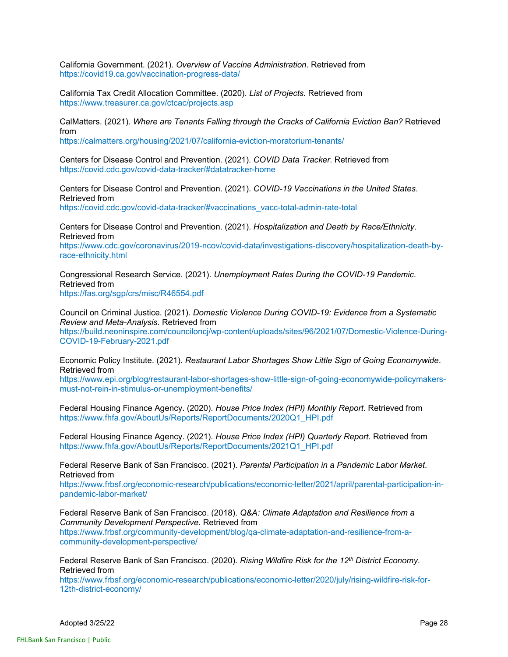California Government. (2021). *Overview of Vaccine Administration*. Retrieved from https://covid19.ca.gov/vaccination-progress-data/

California Tax Credit Allocation Committee. (2020). *List of Projects.* Retrieved from https://www.treasurer.ca.gov/ctcac/projects.asp

CalMatters. (2021). *Where are Tenants Falling through the Cracks of California Eviction Ban?* Retrieved from

https://calmatters.org/housing/2021/07/california-eviction-moratorium-tenants/

Centers for Disease Control and Prevention. (2021). *COVID Data Tracker*. Retrieved from https://covid.cdc.gov/covid-data-tracker/#datatracker-home

Centers for Disease Control and Prevention. (2021). *COVID-19 Vaccinations in the United States*. Retrieved from https://covid.cdc.gov/covid-data-tracker/#vaccinations\_vacc-total-admin-rate-total

Centers for Disease Control and Prevention. (2021). *Hospitalization and Death by Race/Ethnicity*. Retrieved from

https://www.cdc.gov/coronavirus/2019-ncov/covid-data/investigations-discovery/hospitalization-death-byrace-ethnicity.html

Congressional Research Service. (2021). *Unemployment Rates During the COVID-19 Pandemic*. Retrieved from https://fas.org/sgp/crs/misc/R46554.pdf

Council on Criminal Justice. (2021). *Domestic Violence During COVID-19: Evidence from a Systematic Review and Meta-Analysis*. Retrieved from

https://build.neoninspire.com/counciloncj/wp-content/uploads/sites/96/2021/07/Domestic-Violence-During-COVID-19-February-2021.pdf

Economic Policy Institute. (2021). *Restaurant Labor Shortages Show Little Sign of Going Economywide*. Retrieved from

https://www.epi.org/blog/restaurant-labor-shortages-show-little-sign-of-going-economywide-policymakersmust-not-rein-in-stimulus-or-unemployment-benefits/

Federal Housing Finance Agency. (2020). *House Price Index (HPI) Monthly Report.* Retrieved from https://www.fhfa.gov/AboutUs/Reports/ReportDocuments/2020Q1\_HPI.pdf

Federal Housing Finance Agency. (2021). *House Price Index (HPI) Quarterly Report.* Retrieved from https://www.fhfa.gov/AboutUs/Reports/ReportDocuments/2021Q1\_HPI.pdf

Federal Reserve Bank of San Francisco. (2021). *Parental Participation in a Pandemic Labor Market*. Retrieved from

https://www.frbsf.org/economic-research/publications/economic-letter/2021/april/parental-participation-inpandemic-labor-market/

Federal Reserve Bank of San Francisco. (2018). *Q&A: Climate Adaptation and Resilience from a Community Development Perspective*. Retrieved from

https://www.frbsf.org/community-development/blog/qa-climate-adaptation-and-resilience-from-acommunity-development-perspective/

Federal Reserve Bank of San Francisco. (2020). *Rising Wildfire Risk for the 12th District Economy*. Retrieved from

https://www.frbsf.org/economic-research/publications/economic-letter/2020/july/rising-wildfire-risk-for-12th-district-economy/

Adopted 3/25/22 Page 28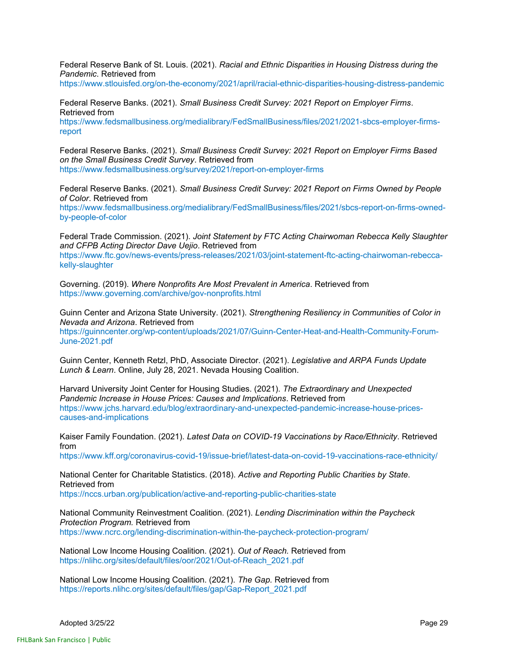Federal Reserve Bank of St. Louis. (2021). *Racial and Ethnic Disparities in Housing Distress during the Pandemic*. Retrieved from

https://www.stlouisfed.org/on-the-economy/2021/april/racial-ethnic-disparities-housing-distress-pandemic

Federal Reserve Banks. (2021). *Small Business Credit Survey: 2021 Report on Employer Firms*. Retrieved from

https://www.fedsmallbusiness.org/medialibrary/FedSmallBusiness/files/2021/2021-sbcs-employer-firmsreport

Federal Reserve Banks. (2021). *Small Business Credit Survey: 2021 Report on Employer Firms Based on the Small Business Credit Survey*. Retrieved from https://www.fedsmallbusiness.org/survey/2021/report-on-employer-firms

Federal Reserve Banks. (2021). *Small Business Credit Survey: 2021 Report on Firms Owned by People of Color*. Retrieved from

https://www.fedsmallbusiness.org/medialibrary/FedSmallBusiness/files/2021/sbcs-report-on-firms-ownedby-people-of-color

Federal Trade Commission. (2021). *Joint Statement by FTC Acting Chairwoman Rebecca Kelly Slaughter and CFPB Acting Director Dave Uejio*. Retrieved from

https://www.ftc.gov/news-events/press-releases/2021/03/joint-statement-ftc-acting-chairwoman-rebeccakelly-slaughter

Governing. (2019). *Where Nonprofits Are Most Prevalent in America*. Retrieved from https://www.governing.com/archive/gov-nonprofits.html

Guinn Center and Arizona State University. (2021). *Strengthening Resiliency in Communities of Color in Nevada and Arizona*. Retrieved from

https://guinncenter.org/wp-content/uploads/2021/07/Guinn-Center-Heat-and-Health-Community-Forum-June-2021.pdf

Guinn Center, Kenneth Retzl, PhD, Associate Director. (2021). *Legislative and ARPA Funds Update Lunch & Learn*. Online, July 28, 2021. Nevada Housing Coalition.

Harvard University Joint Center for Housing Studies. (2021). *The Extraordinary and Unexpected Pandemic Increase in House Prices: Causes and Implications*. Retrieved from https://www.jchs.harvard.edu/blog/extraordinary-and-unexpected-pandemic-increase-house-pricescauses-and-implications

Kaiser Family Foundation. (2021). *Latest Data on COVID-19 Vaccinations by Race/Ethnicity*. Retrieved from

https://www.kff.org/coronavirus-covid-19/issue-brief/latest-data-on-covid-19-vaccinations-race-ethnicity/

National Center for Charitable Statistics. (2018). *Active and Reporting Public Charities by State*. Retrieved from https://nccs.urban.org/publication/active-and-reporting-public-charities-state

National Community Reinvestment Coalition. (2021). *Lending Discrimination within the Paycheck Protection Program.* Retrieved from https://www.ncrc.org/lending-discrimination-within-the-paycheck-protection-program/

National Low Income Housing Coalition. (2021). *Out of Reach.* Retrieved from https://nlihc.org/sites/default/files/oor/2021/Out-of-Reach\_2021.pdf

National Low Income Housing Coalition. (2021). *The Gap.* Retrieved from https://reports.nlihc.org/sites/default/files/gap/Gap-Report\_2021.pdf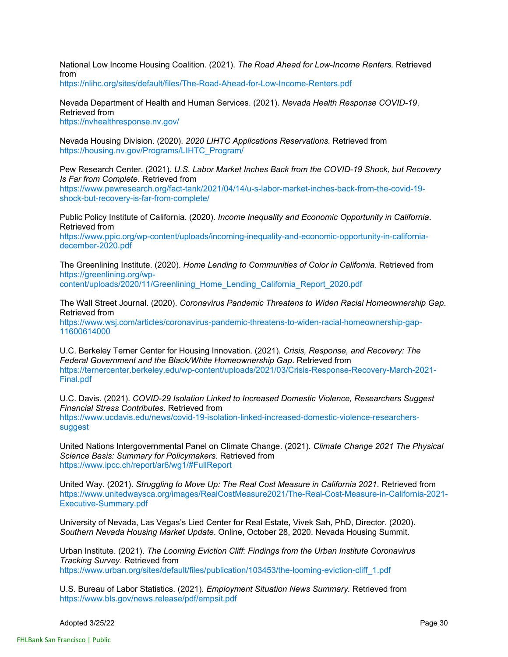National Low Income Housing Coalition. (2021). *The Road Ahead for Low-Income Renters.* Retrieved from

https://nlihc.org/sites/default/files/The-Road-Ahead-for-Low-Income-Renters.pdf

Nevada Department of Health and Human Services. (2021). *Nevada Health Response COVID-19*. Retrieved from

https://nvhealthresponse.nv.gov/

Nevada Housing Division. (2020). *2020 LIHTC Applications Reservations.* Retrieved from https://housing.nv.gov/Programs/LIHTC\_Program/

Pew Research Center. (2021). *U.S. Labor Market Inches Back from the COVID-19 Shock, but Recovery Is Far from Complete*. Retrieved from

https://www.pewresearch.org/fact-tank/2021/04/14/u-s-labor-market-inches-back-from-the-covid-19 shock-but-recovery-is-far-from-complete/

Public Policy Institute of California. (2020). *Income Inequality and Economic Opportunity in California*. Retrieved from

https://www.ppic.org/wp-content/uploads/incoming-inequality-and-economic-opportunity-in-californiadecember-2020.pdf

The Greenlining Institute. (2020). *Home Lending to Communities of Color in California*. Retrieved from https://greenlining.org/wpcontent/uploads/2020/11/Greenlining\_Home\_Lending\_California\_Report\_2020.pdf

The Wall Street Journal. (2020). *Coronavirus Pandemic Threatens to Widen Racial Homeownership Gap*. Retrieved from https://www.wsj.com/articles/coronavirus-pandemic-threatens-to-widen-racial-homeownership-gap-11600614000

U.C. Berkeley Terner Center for Housing Innovation. (2021). *Crisis, Response, and Recovery: The Federal Government and the Black/White Homeownership Gap*. Retrieved from https://ternercenter.berkeley.edu/wp-content/uploads/2021/03/Crisis-Response-Recovery-March-2021- Final.pdf

U.C. Davis. (2021). *COVID-29 Isolation Linked to Increased Domestic Violence, Researchers Suggest Financial Stress Contributes*. Retrieved from https://www.ucdavis.edu/news/covid-19-isolation-linked-increased-domestic-violence-researcherssuggest

United Nations Intergovernmental Panel on Climate Change. (2021). *Climate Change 2021 The Physical Science Basis: Summary for Policymakers*. Retrieved from https://www.ipcc.ch/report/ar6/wg1/#FullReport

United Way. (2021). *Struggling to Move Up: The Real Cost Measure in California 2021*. Retrieved from https://www.unitedwaysca.org/images/RealCostMeasure2021/The-Real-Cost-Measure-in-California-2021- Executive-Summary.pdf

University of Nevada, Las Vegas's Lied Center for Real Estate, Vivek Sah, PhD, Director. (2020). *Southern Nevada Housing Market Update*. Online, October 28, 2020. Nevada Housing Summit.

Urban Institute. (2021). *The Looming Eviction Cliff: Findings from the Urban Institute Coronavirus Tracking Survey*. Retrieved from https://www.urban.org/sites/default/files/publication/103453/the-looming-eviction-cliff\_1.pdf

U.S. Bureau of Labor Statistics. (2021). *Employment Situation News Summary.* Retrieved from https://www.bls.gov/news.release/pdf/empsit.pdf

Adopted 3/25/22 Page 30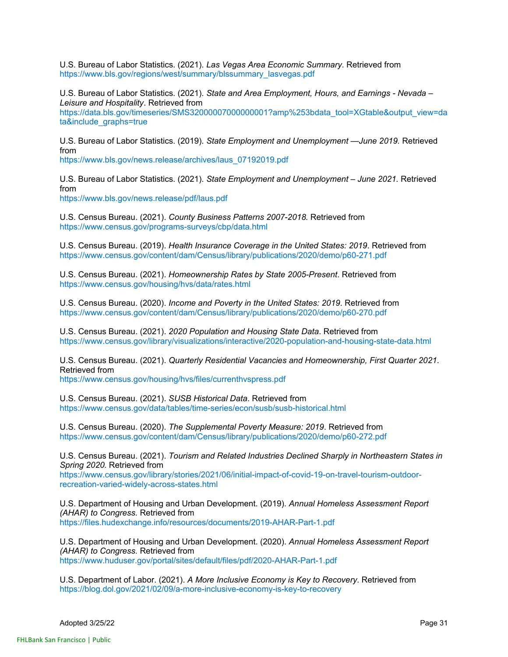U.S. Bureau of Labor Statistics. (2021). *Las Vegas Area Economic Summary*. Retrieved from https://www.bls.gov/regions/west/summary/blssummary\_lasvegas.pdf

U.S. Bureau of Labor Statistics. (2021). *State and Area Employment, Hours, and Earnings - Nevada – Leisure and Hospitality*. Retrieved from https://data.bls.gov/timeseries/SMS32000007000000001?amp%253bdata\_tool=XGtable&output\_view=da ta&include\_graphs=true

U.S. Bureau of Labor Statistics. (2019). *State Employment and Unemployment —June 2019.* Retrieved from

https://www.bls.gov/news.release/archives/laus\_07192019.pdf

U.S. Bureau of Labor Statistics. (2021). *State Employment and Unemployment – June 2021.* Retrieved from

https://www.bls.gov/news.release/pdf/laus.pdf

U.S. Census Bureau. (2021). *County Business Patterns 2007-2018.* Retrieved from https://www.census.gov/programs-surveys/cbp/data.html

U.S. Census Bureau. (2019). *Health Insurance Coverage in the United States: 2019*. Retrieved from https://www.census.gov/content/dam/Census/library/publications/2020/demo/p60-271.pdf

U.S. Census Bureau. (2021). *Homeownership Rates by State 2005-Present*. Retrieved from https://www.census.gov/housing/hvs/data/rates.html

U.S. Census Bureau. (2020). *Income and Poverty in the United States: 2019*. Retrieved from https://www.census.gov/content/dam/Census/library/publications/2020/demo/p60-270.pdf

U.S. Census Bureau. (2021). *2020 Population and Housing State Data*. Retrieved from https://www.census.gov/library/visualizations/interactive/2020-population-and-housing-state-data.html

U.S. Census Bureau. (2021). *Quarterly Residential Vacancies and Homeownership, First Quarter 2021*. Retrieved from https://www.census.gov/housing/hvs/files/currenthvspress.pdf

U.S. Census Bureau. (2021). *SUSB Historical Data*. Retrieved from https://www.census.gov/data/tables/time-series/econ/susb/susb-historical.html

U.S. Census Bureau. (2020). *The Supplemental Poverty Measure: 2019*. Retrieved from https://www.census.gov/content/dam/Census/library/publications/2020/demo/p60-272.pdf

U.S. Census Bureau. (2021). *Tourism and Related Industries Declined Sharply in Northeastern States in Spring 2020.* Retrieved from

https://www.census.gov/library/stories/2021/06/initial-impact-of-covid-19-on-travel-tourism-outdoorrecreation-varied-widely-across-states.html

U.S. Department of Housing and Urban Development. (2019). *Annual Homeless Assessment Report (AHAR) to Congress.* Retrieved from https://files.hudexchange.info/resources/documents/2019-AHAR-Part-1.pdf

U.S. Department of Housing and Urban Development. (2020). *Annual Homeless Assessment Report (AHAR) to Congress.* Retrieved from https://www.huduser.gov/portal/sites/default/files/pdf/2020-AHAR-Part-1.pdf

U.S. Department of Labor. (2021). *A More Inclusive Economy is Key to Recovery*. Retrieved from https://blog.dol.gov/2021/02/09/a-more-inclusive-economy-is-key-to-recovery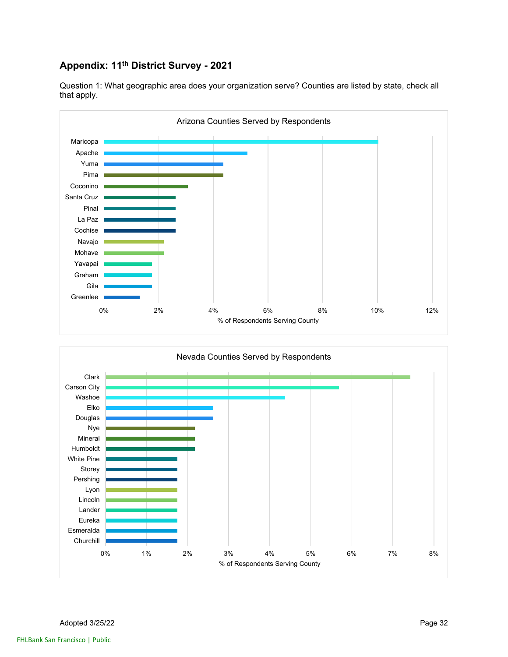## **Appendix: 11th District Survey - 2021**



Question 1: What geographic area does your organization serve? Counties are listed by state, check all that apply.

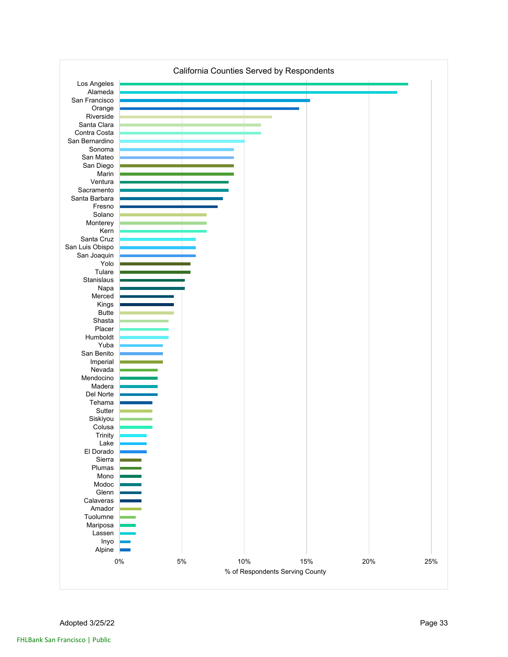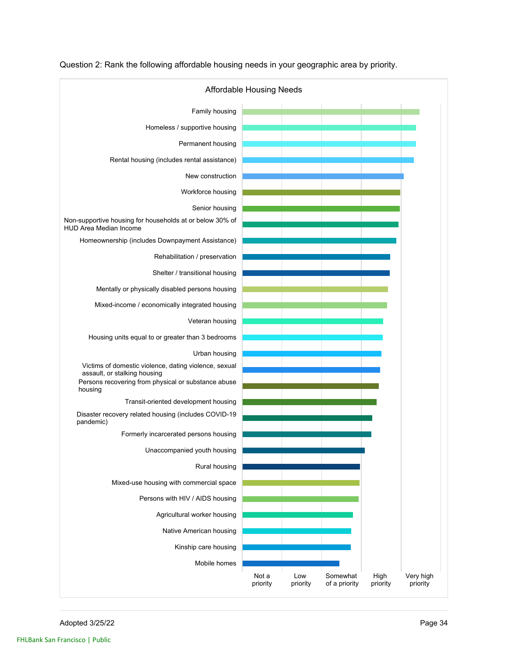

Question 2: Rank the following affordable housing needs in your geographic area by priority.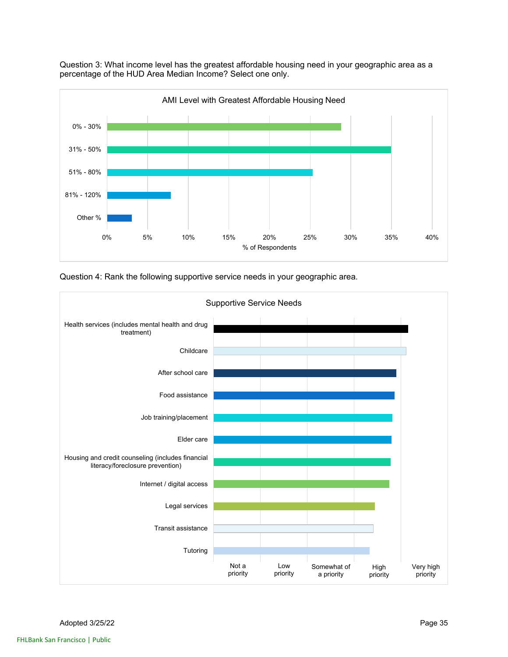

Question 3: What income level has the greatest affordable housing need in your geographic area as a percentage of the HUD Area Median Income? Select one only.

Question 4: Rank the following supportive service needs in your geographic area.

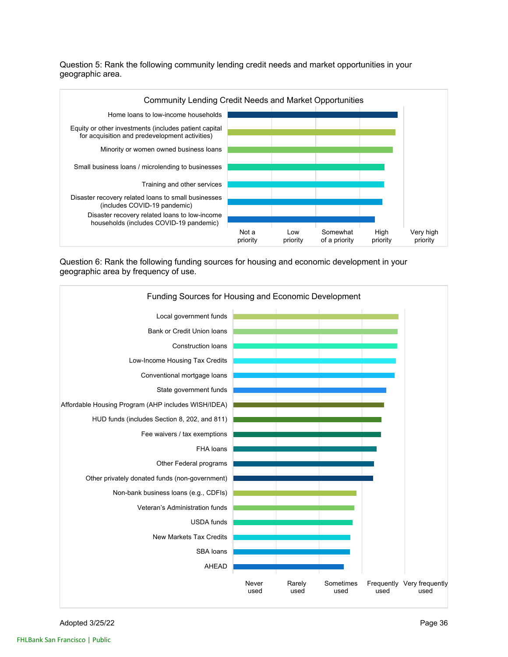Question 5: Rank the following community lending credit needs and market opportunities in your geographic area.



Question 6: Rank the following funding sources for housing and economic development in your geographic area by frequency of use.



Adopted 3/25/22 Page 36